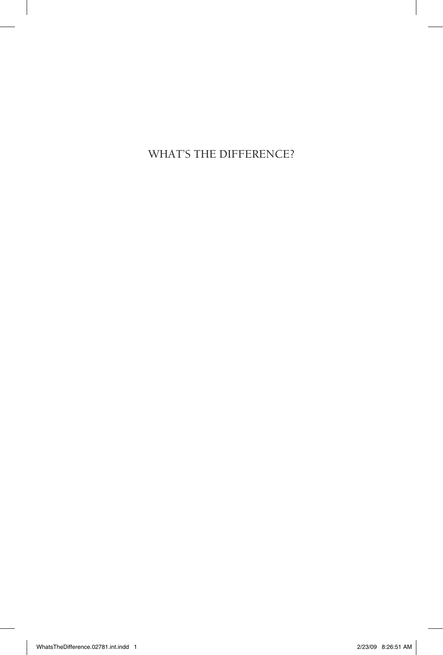WHAT'S THE DIFFERENCE?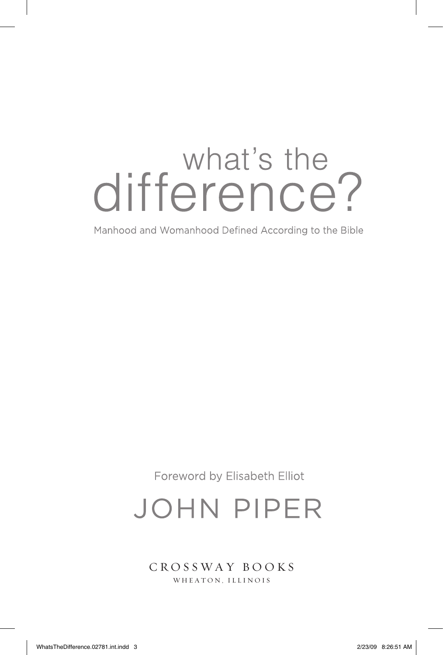# what's the<br>difference?

Manhood and Womanhood Defined According to the Bible

Foreword by Elisabeth Elliot

# **JOHN PIPER**

#### CROSSWAY BOOKS WHEATON, ILLINOIS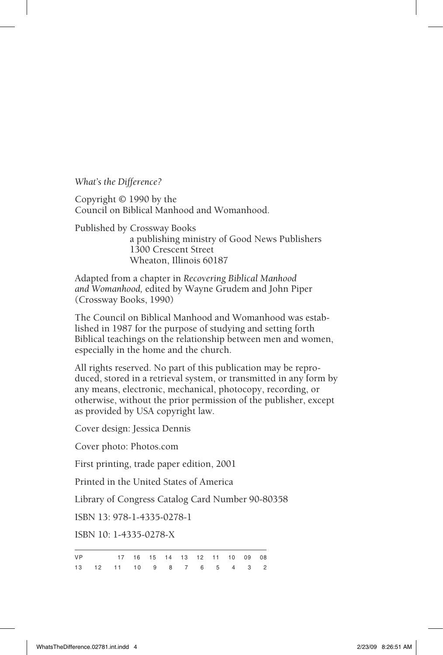*What's the Difference?*

Copyright © 1990 by the Council on Biblical Manhood and Womanhood.

Published by Crossway Books a publishing ministry of Good News Publishers

1300 Crescent Street Wheaton, Illinois 60187

Adapted from a chapter in *Recovering Biblical Manhood and Womanhood,* edited by Wayne Grudem and John Piper (Crossway Books, 1990)

The Council on Biblical Manhood and Womanhood was established in 1987 for the purpose of studying and setting forth Biblical teachings on the relationship between men and women, especially in the home and the church.

All rights reserved. No part of this publication may be reproduced, stored in a retrieval system, or transmitted in any form by any means, electronic, mechanical, photocopy, recording, or otherwise, without the prior permission of the publisher, except as provided by USA copyright law.

Cover design: Jessica Dennis

Cover photo: Photos.com

First printing, trade paper edition, 2001

Printed in the United States of America

Library of Congress Catalog Card Number 90-80358

ISBN 13: 978-1-4335-0278-1

ISBN 10: 1-4335-0278-X

| <b>VP</b> |                                                              | 17 16 15 14 13 12 11 10 09 08 |  |  |  |  |
|-----------|--------------------------------------------------------------|-------------------------------|--|--|--|--|
|           | 13    12    11    10    9    8    7    6    5    4    3    2 |                               |  |  |  |  |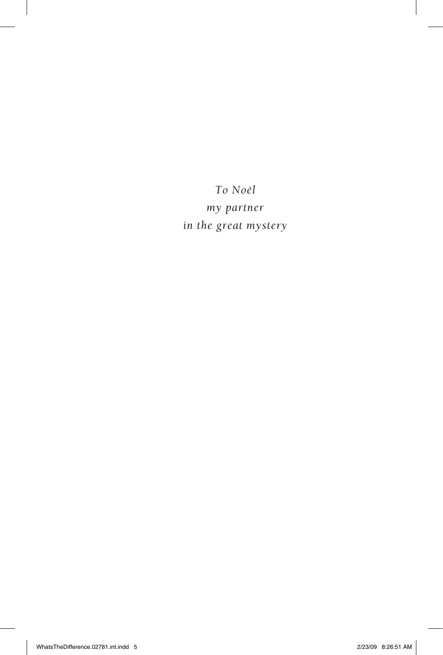*To Noël my partner in the great mystery*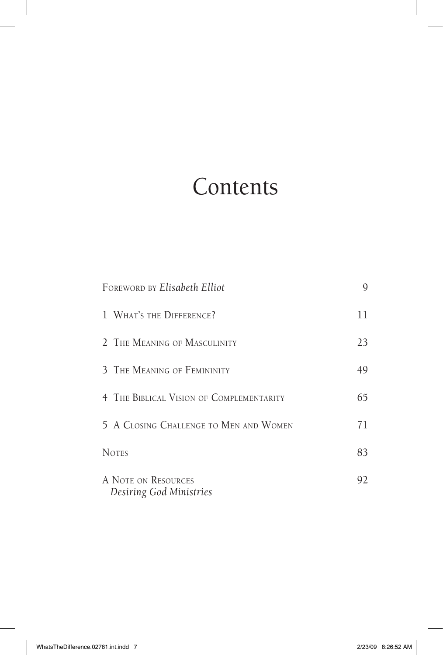## Contents

| FOREWORD BY Elisabeth Elliot                   |    |  |  |  |
|------------------------------------------------|----|--|--|--|
| 1 WHAT'S THE DIFFERENCE?                       | 11 |  |  |  |
| 2 THE MEANING OF MASCULINITY                   | 23 |  |  |  |
| 3 THE MEANING OF FEMININITY                    | 49 |  |  |  |
| 4 THE BIBLICAL VISION OF COMPLEMENTARITY       | 65 |  |  |  |
| 5 A CLOSING CHALLENGE TO MEN AND WOMEN         | 71 |  |  |  |
| <b>NOTES</b>                                   |    |  |  |  |
| A NOTE ON RESOURCES<br>Desiring God Ministries |    |  |  |  |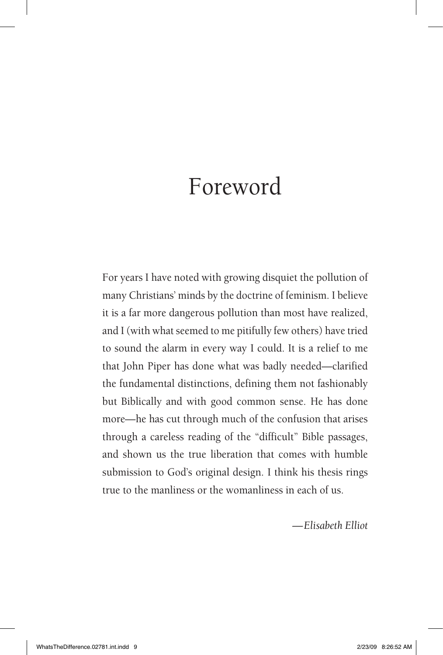## Foreword

For years I have noted with growing disquiet the pollution of many Christians' minds by the doctrine of feminism. I believe it is a far more dangerous pollution than most have realized, and I (with what seemed to me pitifully few others) have tried to sound the alarm in every way I could. It is a relief to me that John Piper has done what was badly needed—clarified the fundamental distinctions, defining them not fashionably but Biblically and with good common sense. He has done more—he has cut through much of the confusion that arises through a careless reading of the "difficult" Bible passages, and shown us the true liberation that comes with humble submission to God's original design. I think his thesis rings true to the manliness or the womanliness in each of us.

*—Elisabeth Elliot*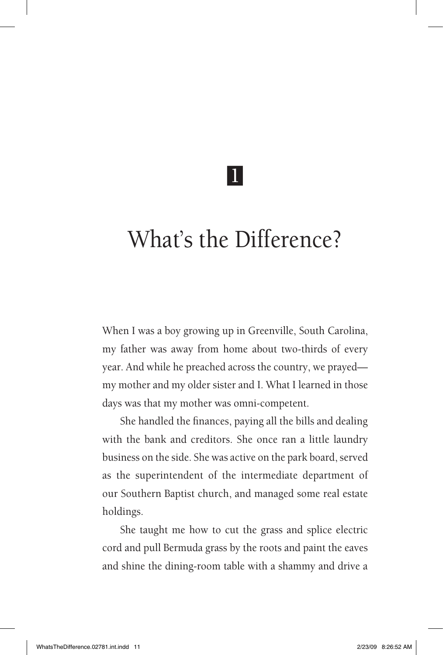n**1**

## What's the Difference?

When I was a boy growing up in Greenville, South Carolina, my father was away from home about two-thirds of every year. And while he preached across the country, we prayed my mother and my older sister and I. What I learned in those days was that my mother was omni-competent.

She handled the finances, paying all the bills and dealing with the bank and creditors. She once ran a little laundry business on the side. She was active on the park board, served as the superintendent of the intermediate department of our Southern Baptist church, and managed some real estate holdings.

She taught me how to cut the grass and splice electric cord and pull Bermuda grass by the roots and paint the eaves and shine the dining-room table with a shammy and drive a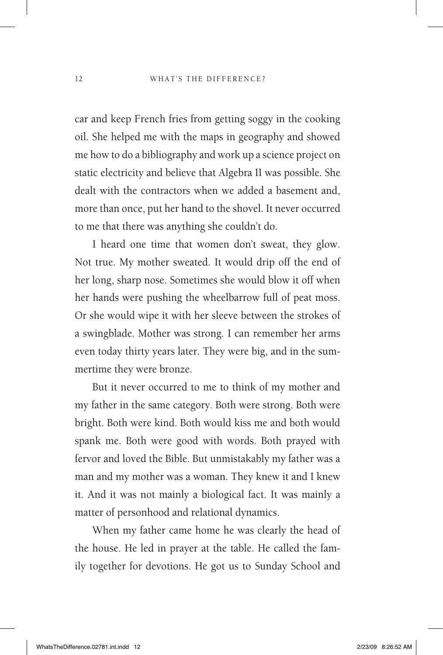car and keep French fries from getting soggy in the cooking oil. She helped me with the maps in geography and showed me how to do a bibliography and work up a science project on static electricity and believe that Algebra II was possible. She dealt with the contractors when we added a basement and, more than once, put her hand to the shovel. It never occurred to me that there was anything she couldn't do.

I heard one time that women don't sweat, they glow. Not true. My mother sweated. It would drip off the end of her long, sharp nose. Sometimes she would blow it off when her hands were pushing the wheelbarrow full of peat moss. Or she would wipe it with her sleeve between the strokes of a swingblade. Mother was strong. I can remember her arms even today thirty years later. They were big, and in the summertime they were bronze.

But it never occurred to me to think of my mother and my father in the same category. Both were strong. Both were bright. Both were kind. Both would kiss me and both would spank me. Both were good with words. Both prayed with fervor and loved the Bible. But unmistakably my father was a man and my mother was a woman. They knew it and I knew it. And it was not mainly a biological fact. It was mainly a matter of personhood and relational dynamics.

When my father came home he was clearly the head of the house. He led in prayer at the table. He called the family together for devotions. He got us to Sunday School and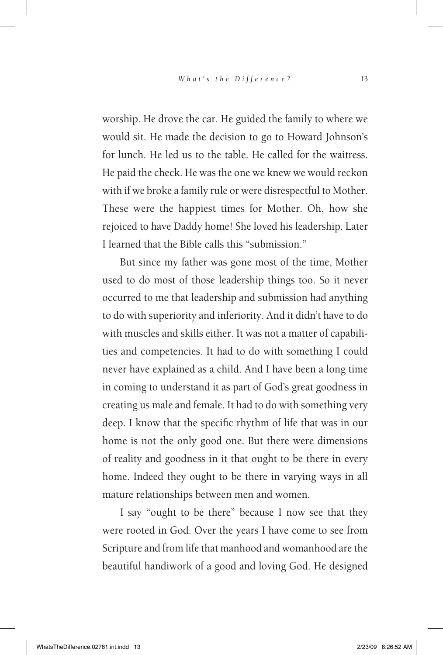worship. He drove the car. He guided the family to where we would sit. He made the decision to go to Howard Johnson's for lunch. He led us to the table. He called for the waitress. He paid the check. He was the one we knew we would reckon with if we broke a family rule or were disrespectful to Mother. These were the happiest times for Mother. Oh, how she rejoiced to have Daddy home! She loved his leadership. Later I learned that the Bible calls this "submission."

But since my father was gone most of the time, Mother used to do most of those leadership things too. So it never occurred to me that leadership and submission had anything to do with superiority and inferiority. And it didn't have to do with muscles and skills either. It was not a matter of capabilities and competencies. It had to do with something I could never have explained as a child. And I have been a long time in coming to understand it as part of God's great goodness in creating us male and female. It had to do with something very deep. I know that the specific rhythm of life that was in our home is not the only good one. But there were dimensions of reality and goodness in it that ought to be there in every home. Indeed they ought to be there in varying ways in all mature relationships between men and women.

I say "ought to be there" because I now see that they were rooted in God. Over the years I have come to see from Scripture and from life that manhood and womanhood are the beautiful handiwork of a good and loving God. He designed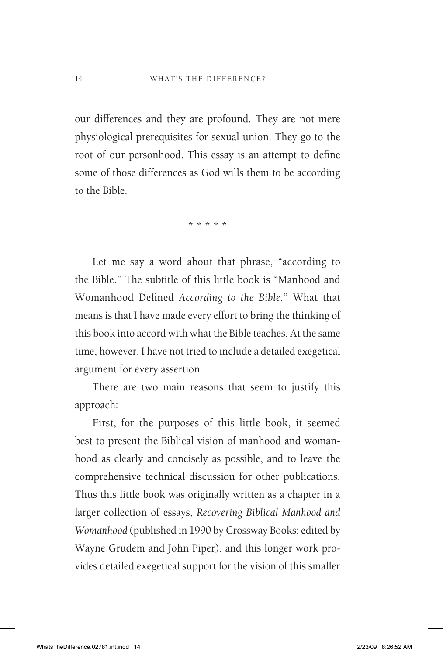our differences and they are profound. They are not mere physiological prerequisites for sexual union. They go to the root of our personhood. This essay is an attempt to define some of those differences as God wills them to be according to the Bible.

\* \* \* \* \*

Let me say a word about that phrase, "according to the Bible." The subtitle of this little book is "Manhood and Womanhood Defined *According to the Bible*." What that means is that I have made every effort to bring the thinking of this book into accord with what the Bible teaches. At the same time, however, I have not tried to include a detailed exegetical argument for every assertion.

There are two main reasons that seem to justify this approach:

First, for the purposes of this little book, it seemed best to present the Biblical vision of manhood and womanhood as clearly and concisely as possible, and to leave the comprehensive technical discussion for other publications. Thus this little book was originally written as a chapter in a larger collection of essays, *Recovering Biblical Manhood and Womanhood* (published in 1990 by Crossway Books; edited by Wayne Grudem and John Piper), and this longer work provides detailed exegetical support for the vision of this smaller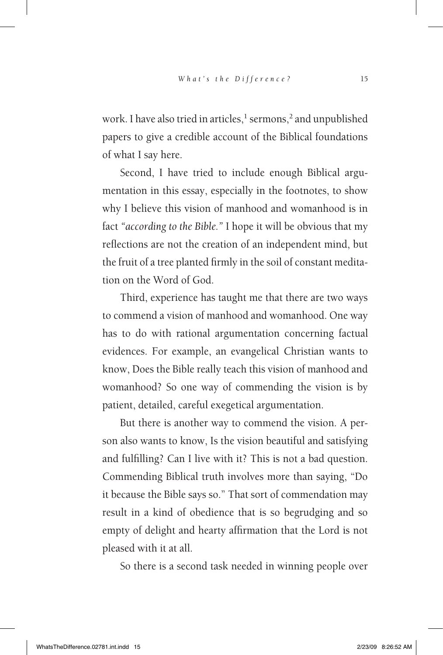work. I have also tried in articles,<sup>1</sup> sermons,<sup>2</sup> and unpublished papers to give a credible account of the Biblical foundations of what I say here.

Second, I have tried to include enough Biblical argumentation in this essay, especially in the footnotes, to show why I believe this vision of manhood and womanhood is in fact *"according to the Bible."* I hope it will be obvious that my reflections are not the creation of an independent mind, but the fruit of a tree planted firmly in the soil of constant meditation on the Word of God.

Third, experience has taught me that there are two ways to commend a vision of manhood and womanhood. One way has to do with rational argumentation concerning factual evidences. For example, an evangelical Christian wants to know, Does the Bible really teach this vision of manhood and womanhood? So one way of commending the vision is by patient, detailed, careful exegetical argumentation.

But there is another way to commend the vision. A person also wants to know, Is the vision beautiful and satisfying and fulfilling? Can I live with it? This is not a bad question. Commending Biblical truth involves more than saying, "Do it because the Bible says so." That sort of commendation may result in a kind of obedience that is so begrudging and so empty of delight and hearty affirmation that the Lord is not pleased with it at all.

So there is a second task needed in winning people over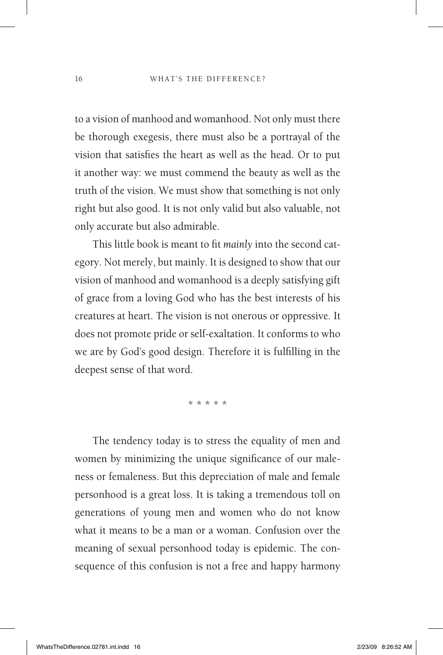to a vision of manhood and womanhood. Not only must there be thorough exegesis, there must also be a portrayal of the vision that satisfies the heart as well as the head. Or to put it another way: we must commend the beauty as well as the truth of the vision. We must show that something is not only right but also good. It is not only valid but also valuable, not only accurate but also admirable.

This little book is meant to fit *mainly* into the second category. Not merely, but mainly. It is designed to show that our vision of manhood and womanhood is a deeply satisfying gift of grace from a loving God who has the best interests of his creatures at heart. The vision is not onerous or oppressive. It does not promote pride or self-exaltation. It conforms to who we are by God's good design. Therefore it is fulfilling in the deepest sense of that word.

\* \* \* \* \*

The tendency today is to stress the equality of men and women by minimizing the unique significance of our maleness or femaleness. But this depreciation of male and female personhood is a great loss. It is taking a tremendous toll on generations of young men and women who do not know what it means to be a man or a woman. Confusion over the meaning of sexual personhood today is epidemic. The consequence of this confusion is not a free and happy harmony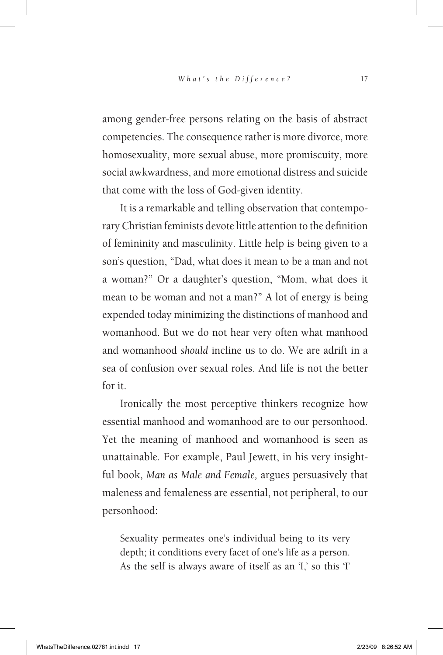among gender-free persons relating on the basis of abstract competencies. The consequence rather is more divorce, more homosexuality, more sexual abuse, more promiscuity, more social awkwardness, and more emotional distress and suicide that come with the loss of God-given identity.

It is a remarkable and telling observation that contemporary Christian feminists devote little attention to the definition of femininity and masculinity. Little help is being given to a son's question, "Dad, what does it mean to be a man and not a woman?" Or a daughter's question, "Mom, what does it mean to be woman and not a man?" A lot of energy is being expended today minimizing the distinctions of manhood and womanhood. But we do not hear very often what manhood and womanhood *should* incline us to do. We are adrift in a sea of confusion over sexual roles. And life is not the better for it.

Ironically the most perceptive thinkers recognize how essential manhood and womanhood are to our personhood. Yet the meaning of manhood and womanhood is seen as unattainable. For example, Paul Jewett, in his very insightful book, *Man as Male and Female,* argues persuasively that maleness and femaleness are essential, not peripheral, to our personhood:

Sexuality permeates one's individual being to its very depth; it conditions every facet of one's life as a person. As the self is always aware of itself as an 'I,' so this 'I'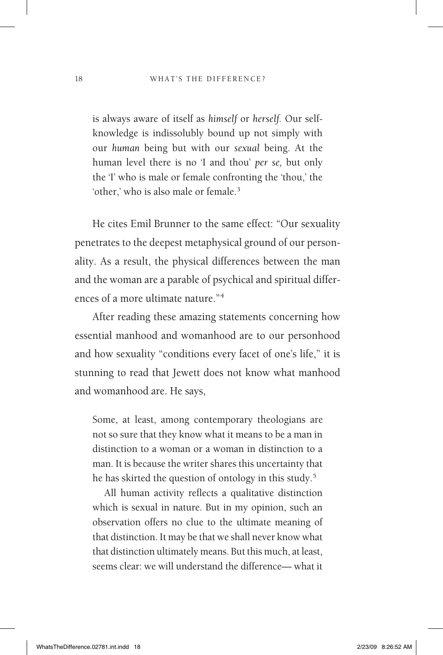is always aware of itself as *himself* or *herself.* Our selfknowledge is indissolubly bound up not simply with our *human* being but with our *sexual* being. At the human level there is no 'I and thou' *per se,* but only the 'I' who is male or female confronting the 'thou,' the 'other,' who is also male or female.<sup>3</sup>

He cites Emil Brunner to the same effect: "Our sexuality penetrates to the deepest metaphysical ground of our personality. As a result, the physical differences between the man and the woman are a parable of psychical and spiritual differences of a more ultimate nature."<sup>4</sup>

After reading these amazing statements concerning how essential manhood and womanhood are to our personhood and how sexuality "conditions every facet of one's life," it is stunning to read that Jewett does not know what manhood and womanhood are. He says,

Some, at least, among contemporary theologians are not so sure that they know what it means to be a man in distinction to a woman or a woman in distinction to a man. It is because the writer shares this uncertainty that he has skirted the question of ontology in this study.<sup>5</sup>

All human activity reflects a qualitative distinction which is sexual in nature. But in my opinion, such an observation offers no clue to the ultimate meaning of that distinction. It may be that we shall never know what that distinction ultimately means. But this much, at least, seems clear: we will understand the difference— what it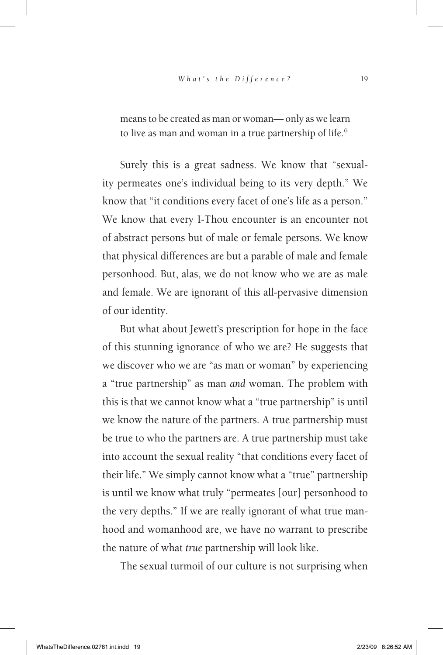means to be created as man or woman— only as we learn to live as man and woman in a true partnership of life.<sup>6</sup>

Surely this is a great sadness. We know that "sexuality permeates one's individual being to its very depth." We know that "it conditions every facet of one's life as a person." We know that every I-Thou encounter is an encounter not of abstract persons but of male or female persons. We know that physical differences are but a parable of male and female personhood. But, alas, we do not know who we are as male and female. We are ignorant of this all-pervasive dimension of our identity.

But what about Jewett's prescription for hope in the face of this stunning ignorance of who we are? He suggests that we discover who we are "as man or woman" by experiencing a "true partnership" as man *and* woman. The problem with this is that we cannot know what a "true partnership" is until we know the nature of the partners. A true partnership must be true to who the partners are. A true partnership must take into account the sexual reality "that conditions every facet of their life." We simply cannot know what a "true" partnership is until we know what truly "permeates [our] personhood to the very depths." If we are really ignorant of what true manhood and womanhood are, we have no warrant to prescribe the nature of what *true* partnership will look like.

The sexual turmoil of our culture is not surprising when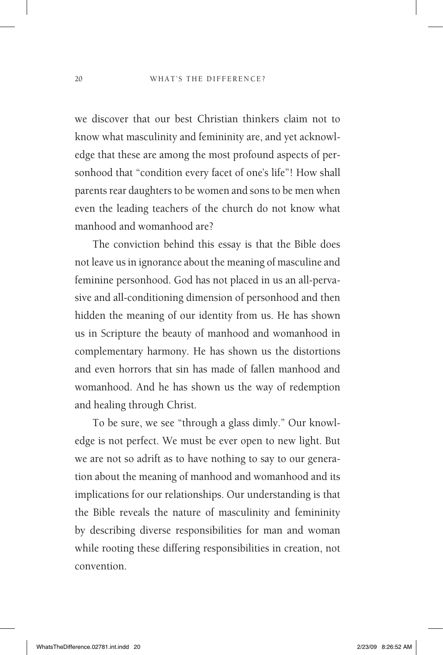we discover that our best Christian thinkers claim not to know what masculinity and femininity are, and yet acknowledge that these are among the most profound aspects of personhood that "condition every facet of one's life"! How shall parents rear daughters to be women and sons to be men when even the leading teachers of the church do not know what manhood and womanhood are?

The conviction behind this essay is that the Bible does not leave us in ignorance about the meaning of masculine and feminine personhood. God has not placed in us an all-pervasive and all-conditioning dimension of personhood and then hidden the meaning of our identity from us. He has shown us in Scripture the beauty of manhood and womanhood in complementary harmony. He has shown us the distortions and even horrors that sin has made of fallen manhood and womanhood. And he has shown us the way of redemption and healing through Christ.

To be sure, we see "through a glass dimly." Our knowledge is not perfect. We must be ever open to new light. But we are not so adrift as to have nothing to say to our generation about the meaning of manhood and womanhood and its implications for our relationships. Our understanding is that the Bible reveals the nature of masculinity and femininity by describing diverse responsibilities for man and woman while rooting these differing responsibilities in creation, not convention.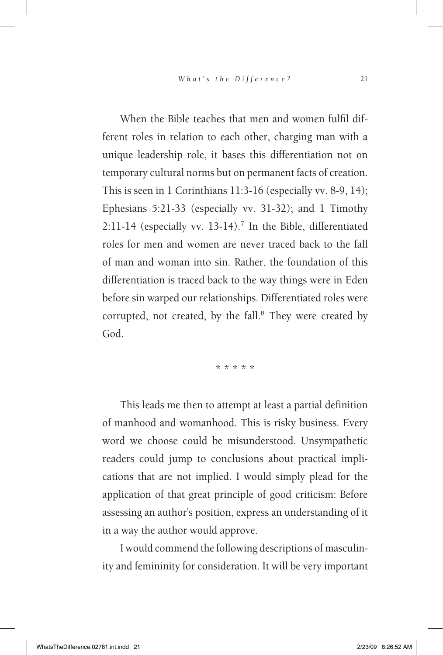When the Bible teaches that men and women fulfil different roles in relation to each other, charging man with a unique leadership role, it bases this differentiation not on temporary cultural norms but on permanent facts of creation. This is seen in 1 Corinthians 11:3-16 (especially vv. 8-9, 14); Ephesians 5:21-33 (especially vv. 31-32); and 1 Timothy  $2:11-14$  (especially vv. 13-14).<sup>7</sup> In the Bible, differentiated roles for men and women are never traced back to the fall of man and woman into sin. Rather, the foundation of this differentiation is traced back to the way things were in Eden before sin warped our relationships. Differentiated roles were corrupted, not created, by the fall.<sup>8</sup> They were created by God.

\* \* \* \* \*

This leads me then to attempt at least a partial definition of manhood and womanhood. This is risky business. Every word we choose could be misunderstood. Unsympathetic readers could jump to conclusions about practical implications that are not implied. I would simply plead for the application of that great principle of good criticism: Before assessing an author's position, express an understanding of it in a way the author would approve.

I would commend the following descriptions of masculinity and femininity for consideration. It will be very important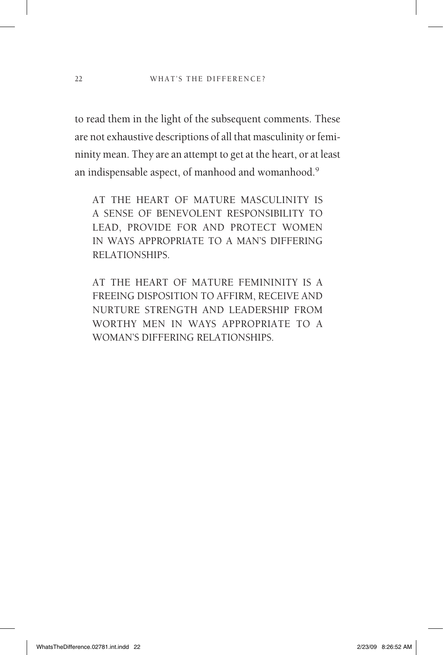to read them in the light of the subsequent comments. These are not exhaustive descriptions of all that masculinity or femininity mean. They are an attempt to get at the heart, or at least an indispensable aspect, of manhood and womanhood.<sup>9</sup>

aT THE HEART OF mATURE masculiNITY IS a sense of benevolent responsibility to LEAD, provide for and protect WOMEN IN WAYS APPROPRIATE TO a Man's DIFFERING RELATIONSHIPS.

At the heart of mature femininity is a FREEING disposition to afFIrm, receive and nurture strength and leadership from worthy men IN WAYS APPROPRIATE TO A WOMAN'S DIFFERING RELATIONSHIPS.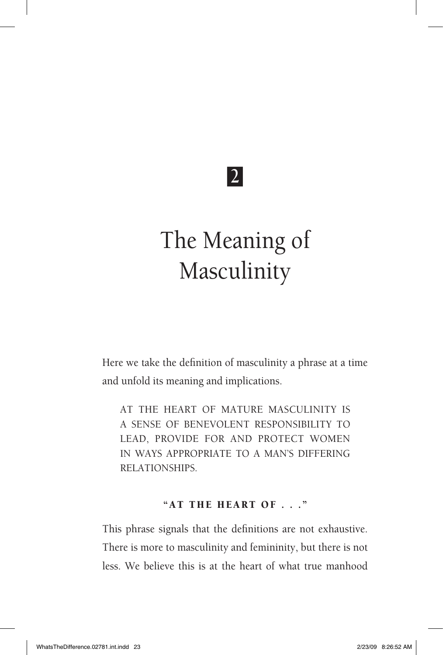### n**2**

## The Meaning of Masculinity

Here we take the definition of masculinity a phrase at a time and unfold its meaning and implications.

aT THE HEART OF mATURE masculiNITY IS a sense of benevolent responsibility to LEAD, provide for and protect WOMEN IN WAYS APPROPRIATE TO a Man's DIFFERING RELATIONSHIPS.

#### "AT THE HEART OF . . ."

This phrase signals that the definitions are not exhaustive. There is more to masculinity and femininity, but there is not less. We believe this is at the heart of what true manhood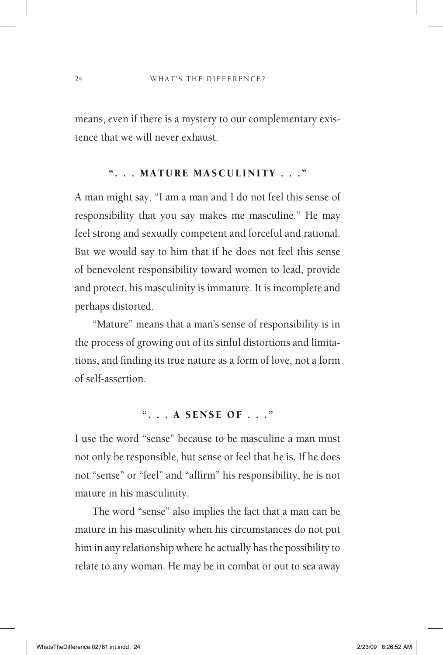means, even if there is a mystery to our complementary existence that we will never exhaust.

#### ". . . MATURE MASCULINITY . . ."

A man might say, "I am a man and I do not feel this sense of responsibility that you say makes me masculine." He may feel strong and sexually competent and forceful and rational. But we would say to him that if he does not feel this sense of benevolent responsibility toward women to lead, provide and protect, his masculinity is immature. It is incomplete and perhaps distorted.

"Mature" means that a man's sense of responsibility is in the process of growing out of its sinful distortions and limitations, and finding its true nature as a form of love, not a form of self-assertion.

#### ". . . A SENSE OF . . ."

I use the word "sense" because to be masculine a man must not only be responsible, but sense or feel that he is. If he does not "sense" or "feel" and "affirm" his responsibility, he is not mature in his masculinity.

The word "sense" also implies the fact that a man can be mature in his masculinity when his circumstances do not put him in any relationship where he actually has the possibility to relate to any woman. He may be in combat or out to sea away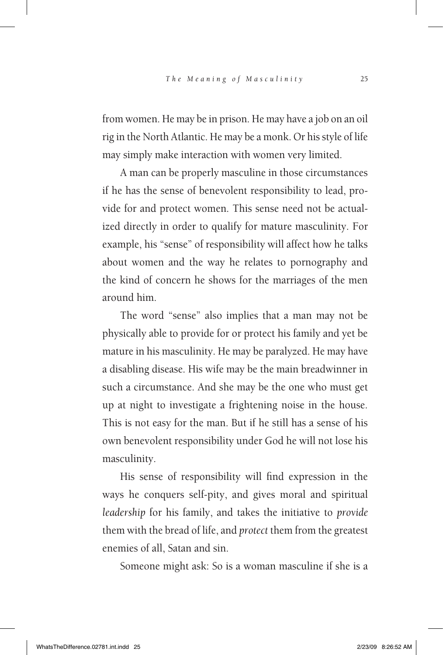from women. He may be in prison. He may have a job on an oil rig in the North Atlantic. He may be a monk. Or his style of life may simply make interaction with women very limited.

A man can be properly masculine in those circumstances if he has the sense of benevolent responsibility to lead, provide for and protect women. This sense need not be actualized directly in order to qualify for mature masculinity. For example, his "sense" of responsibility will affect how he talks about women and the way he relates to pornography and the kind of concern he shows for the marriages of the men around him.

The word "sense" also implies that a man may not be physically able to provide for or protect his family and yet be mature in his masculinity. He may be paralyzed. He may have a disabling disease. His wife may be the main breadwinner in such a circumstance. And she may be the one who must get up at night to investigate a frightening noise in the house. This is not easy for the man. But if he still has a sense of his own benevolent responsibility under God he will not lose his masculinity.

His sense of responsibility will find expression in the ways he conquers self-pity, and gives moral and spiritual *leadership* for his family, and takes the initiative to *provide* them with the bread of life, and *protect* them from the greatest enemies of all, Satan and sin.

Someone might ask: So is a woman masculine if she is a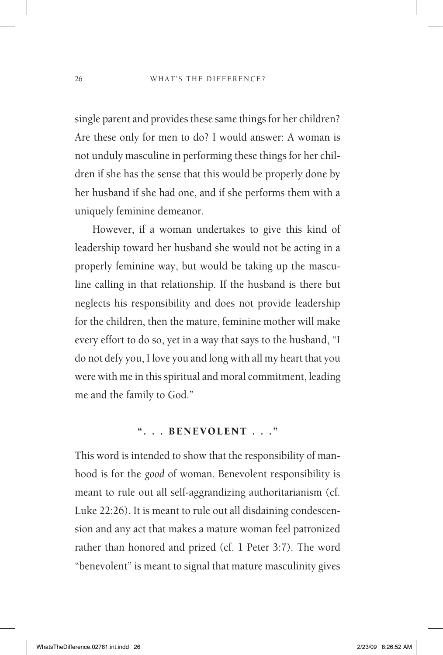single parent and provides these same things for her children? Are these only for men to do? I would answer: A woman is not unduly masculine in performing these things for her children if she has the sense that this would be properly done by her husband if she had one, and if she performs them with a uniquely feminine demeanor.

However, if a woman undertakes to give this kind of leadership toward her husband she would not be acting in a properly feminine way, but would be taking up the masculine calling in that relationship. If the husband is there but neglects his responsibility and does not provide leadership for the children, then the mature, feminine mother will make every effort to do so, yet in a way that says to the husband, "I do not defy you, I love you and long with all my heart that you were with me in this spiritual and moral commitment, leading me and the family to God."

#### ". . . benevolent . . ."

This word is intended to show that the responsibility of manhood is for the *good* of woman. Benevolent responsibility is meant to rule out all self-aggrandizing authoritarianism (cf. Luke 22:26). It is meant to rule out all disdaining condescension and any act that makes a mature woman feel patronized rather than honored and prized (cf. 1 Peter 3:7). The word "benevolent" is meant to signal that mature masculinity gives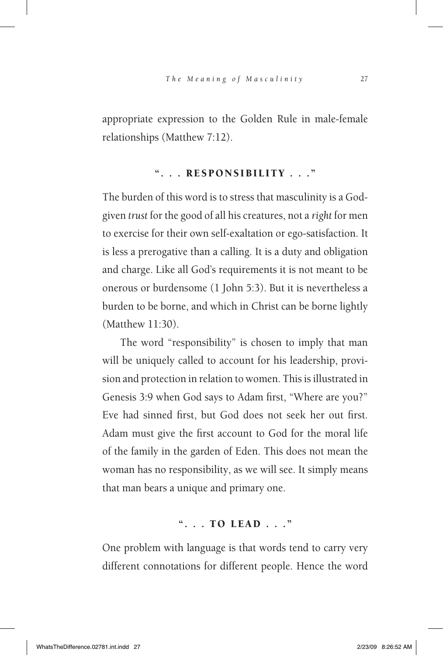appropriate expression to the Golden Rule in male-female relationships (Matthew 7:12).

#### ". . . RESPONSIBILITY . . ."

The burden of this word is to stress that masculinity is a Godgiven *trust* for the good of all his creatures, not a *right* for men to exercise for their own self-exaltation or ego-satisfaction. It is less a prerogative than a calling. It is a duty and obligation and charge. Like all God's requirements it is not meant to be onerous or burdensome (1 John 5:3). But it is nevertheless a burden to be borne, and which in Christ can be borne lightly (Matthew 11:30).

The word "responsibility" is chosen to imply that man will be uniquely called to account for his leadership, provision and protection in relation to women. This is illustrated in Genesis 3:9 when God says to Adam first, "Where are you?" Eve had sinned first, but God does not seek her out first. Adam must give the first account to God for the moral life of the family in the garden of Eden. This does not mean the woman has no responsibility, as we will see. It simply means that man bears a unique and primary one.

#### ".  $\ldots$  TO LEAD . . ."

One problem with language is that words tend to carry very different connotations for different people. Hence the word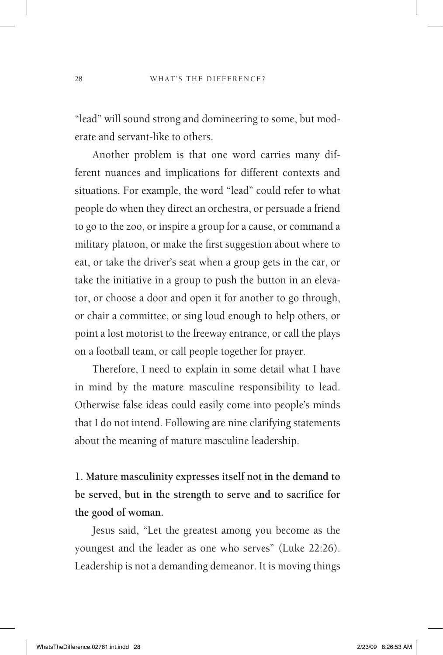"lead" will sound strong and domineering to some, but moderate and servant-like to others.

Another problem is that one word carries many different nuances and implications for different contexts and situations. For example, the word "lead" could refer to what people do when they direct an orchestra, or persuade a friend to go to the zoo, or inspire a group for a cause, or command a military platoon, or make the first suggestion about where to eat, or take the driver's seat when a group gets in the car, or take the initiative in a group to push the button in an elevator, or choose a door and open it for another to go through, or chair a committee, or sing loud enough to help others, or point a lost motorist to the freeway entrance, or call the plays on a football team, or call people together for prayer.

Therefore, I need to explain in some detail what I have in mind by the mature masculine responsibility to lead. Otherwise false ideas could easily come into people's minds that I do not intend. Following are nine clarifying statements about the meaning of mature masculine leadership.

**1. Mature masculinity expresses itself not in the demand to be served, but in the strength to serve and to sacrifice for the good of woman.** 

Jesus said, "Let the greatest among you become as the youngest and the leader as one who serves" (Luke 22:26). Leadership is not a demanding demeanor. It is moving things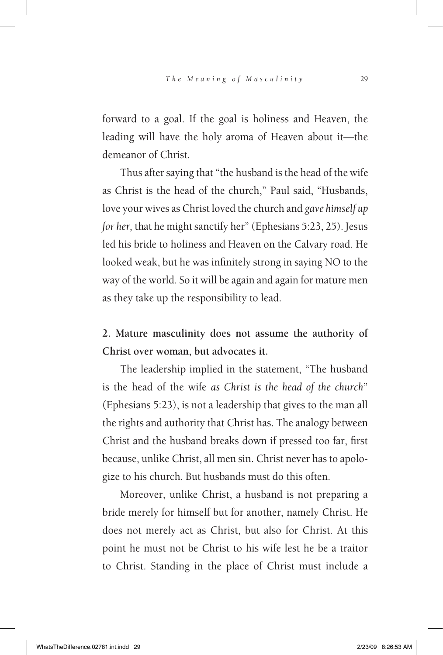forward to a goal. If the goal is holiness and Heaven, the leading will have the holy aroma of Heaven about it—the demeanor of Christ.

Thus after saying that "the husband is the head of the wife as Christ is the head of the church," Paul said, "Husbands, love your wives as Christ loved the church and *gave himself up for her,* that he might sanctify her" (Ephesians 5:23, 25). Jesus led his bride to holiness and Heaven on the Calvary road. He looked weak, but he was infinitely strong in saying NO to the way of the world. So it will be again and again for mature men as they take up the responsibility to lead.

#### **2. Mature masculinity does not assume the authority of Christ over woman, but advocates it.**

The leadership implied in the statement, "The husband is the head of the wife *as Christ is the head of the church*" (Ephesians 5:23), is not a leadership that gives to the man all the rights and authority that Christ has. The analogy between Christ and the husband breaks down if pressed too far, first because, unlike Christ, all men sin. Christ never has to apologize to his church. But husbands must do this often.

Moreover, unlike Christ, a husband is not preparing a bride merely for himself but for another, namely Christ. He does not merely act as Christ, but also for Christ. At this point he must not be Christ to his wife lest he be a traitor to Christ. Standing in the place of Christ must include a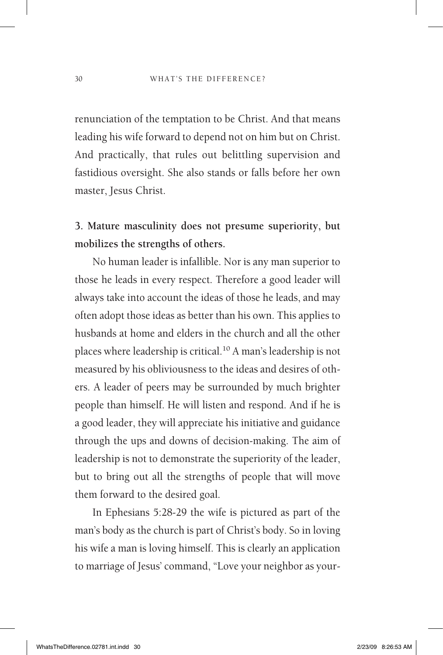renunciation of the temptation to be Christ. And that means leading his wife forward to depend not on him but on Christ. And practically, that rules out belittling supervision and fastidious oversight. She also stands or falls before her own master, Jesus Christ.

#### **3. Mature masculinity does not presume superiority, but mobilizes the strengths of others.**

No human leader is infallible. Nor is any man superior to those he leads in every respect. Therefore a good leader will always take into account the ideas of those he leads, and may often adopt those ideas as better than his own. This applies to husbands at home and elders in the church and all the other places where leadership is critical.<sup>10</sup> A man's leadership is not measured by his obliviousness to the ideas and desires of others. A leader of peers may be surrounded by much brighter people than himself. He will listen and respond. And if he is a good leader, they will appreciate his initiative and guidance through the ups and downs of decision-making. The aim of leadership is not to demonstrate the superiority of the leader, but to bring out all the strengths of people that will move them forward to the desired goal.

In Ephesians 5:28-29 the wife is pictured as part of the man's body as the church is part of Christ's body. So in loving his wife a man is loving himself. This is clearly an application to marriage of Jesus' command, "Love your neighbor as your-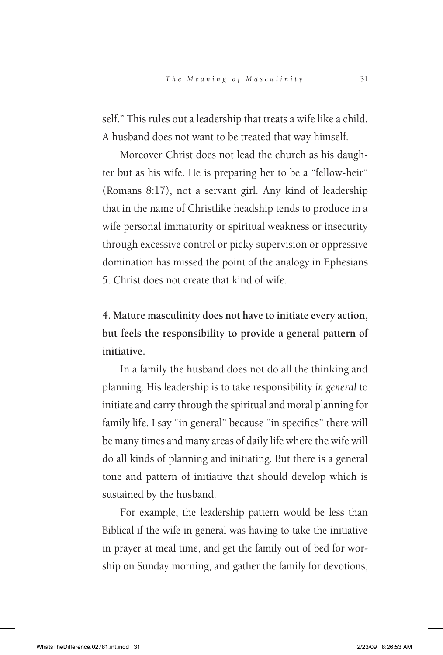self." This rules out a leadership that treats a wife like a child. A husband does not want to be treated that way himself.

Moreover Christ does not lead the church as his daughter but as his wife. He is preparing her to be a "fellow-heir" (Romans 8:17), not a servant girl. Any kind of leadership that in the name of Christlike headship tends to produce in a wife personal immaturity or spiritual weakness or insecurity through excessive control or picky supervision or oppressive domination has missed the point of the analogy in Ephesians 5. Christ does not create that kind of wife.

**4. Mature masculinity does not have to initiate every action, but feels the responsibility to provide a general pattern of initiative.**

In a family the husband does not do all the thinking and planning. His leadership is to take responsibility *in general* to initiate and carry through the spiritual and moral planning for family life. I say "in general" because "in specifics" there will be many times and many areas of daily life where the wife will do all kinds of planning and initiating. But there is a general tone and pattern of initiative that should develop which is sustained by the husband.

For example, the leadership pattern would be less than Biblical if the wife in general was having to take the initiative in prayer at meal time, and get the family out of bed for worship on Sunday morning, and gather the family for devotions,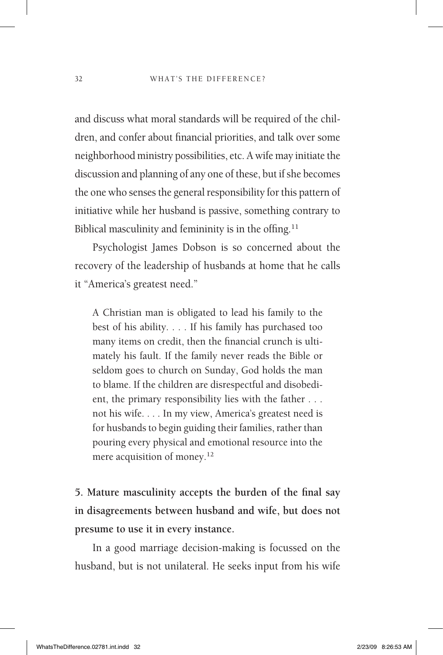and discuss what moral standards will be required of the children, and confer about financial priorities, and talk over some neighborhood ministry possibilities, etc. A wife may initiate the discussion and planning of any one of these, but if she becomes the one who senses the general responsibility for this pattern of initiative while her husband is passive, something contrary to Biblical masculinity and femininity is in the offing.<sup>11</sup>

Psychologist James Dobson is so concerned about the recovery of the leadership of husbands at home that he calls it "America's greatest need."

A Christian man is obligated to lead his family to the best of his ability. . . . If his family has purchased too many items on credit, then the financial crunch is ultimately his fault. If the family never reads the Bible or seldom goes to church on Sunday, God holds the man to blame. If the children are disrespectful and disobedient, the primary responsibility lies with the father . . . not his wife. . . . In my view, America's greatest need is for husbands to begin guiding their families, rather than pouring every physical and emotional resource into the mere acquisition of money.<sup>12</sup>

**5. Mature masculinity accepts the burden of the final say in disagreements between husband and wife, but does not presume to use it in every instance.**

In a good marriage decision-making is focussed on the husband, but is not unilateral. He seeks input from his wife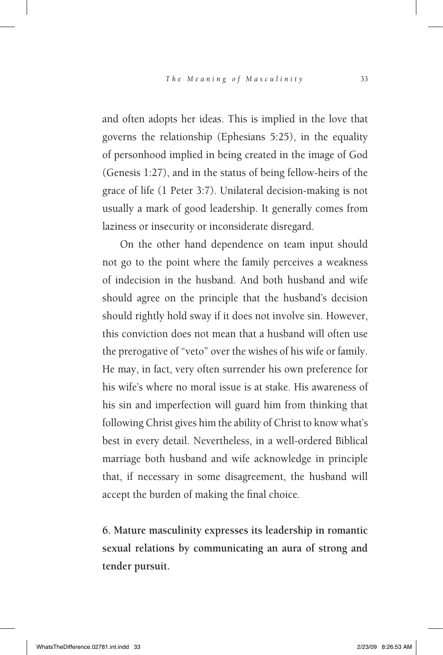and often adopts her ideas. This is implied in the love that governs the relationship (Ephesians 5:25), in the equality of personhood implied in being created in the image of God (Genesis 1:27), and in the status of being fellow-heirs of the grace of life (1 Peter 3:7). Unilateral decision-making is not usually a mark of good leadership. It generally comes from laziness or insecurity or inconsiderate disregard.

On the other hand dependence on team input should not go to the point where the family perceives a weakness of indecision in the husband. And both husband and wife should agree on the principle that the husband's decision should rightly hold sway if it does not involve sin. However, this conviction does not mean that a husband will often use the prerogative of "veto" over the wishes of his wife or family. He may, in fact, very often surrender his own preference for his wife's where no moral issue is at stake. His awareness of his sin and imperfection will guard him from thinking that following Christ gives him the ability of Christ to know what's best in every detail. Nevertheless, in a well-ordered Biblical marriage both husband and wife acknowledge in principle that, if necessary in some disagreement, the husband will accept the burden of making the final choice.

**6. Mature masculinity expresses its leadership in romantic sexual relations by communicating an aura of strong and tender pursuit.**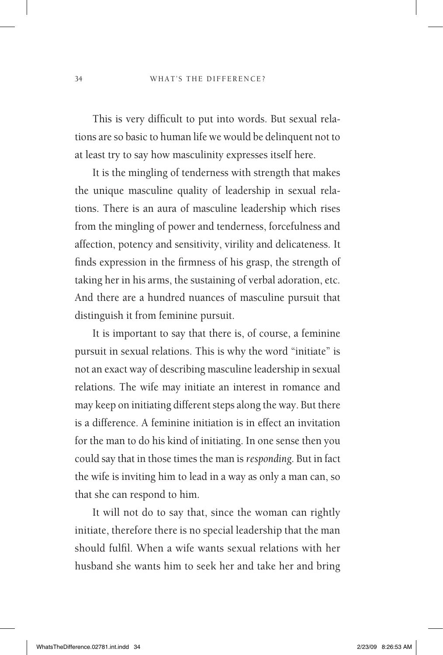This is very difficult to put into words. But sexual relations are so basic to human life we would be delinquent not to at least try to say how masculinity expresses itself here.

It is the mingling of tenderness with strength that makes the unique masculine quality of leadership in sexual relations. There is an aura of masculine leadership which rises from the mingling of power and tenderness, forcefulness and affection, potency and sensitivity, virility and delicateness. It finds expression in the firmness of his grasp, the strength of taking her in his arms, the sustaining of verbal adoration, etc. And there are a hundred nuances of masculine pursuit that distinguish it from feminine pursuit.

It is important to say that there is, of course, a feminine pursuit in sexual relations. This is why the word "initiate" is not an exact way of describing masculine leadership in sexual relations. The wife may initiate an interest in romance and may keep on initiating different steps along the way. But there is a difference. A feminine initiation is in effect an invitation for the man to do his kind of initiating. In one sense then you could say that in those times the man is *responding.* But in fact the wife is inviting him to lead in a way as only a man can, so that she can respond to him.

It will not do to say that, since the woman can rightly initiate, therefore there is no special leadership that the man should fulfil. When a wife wants sexual relations with her husband she wants him to seek her and take her and bring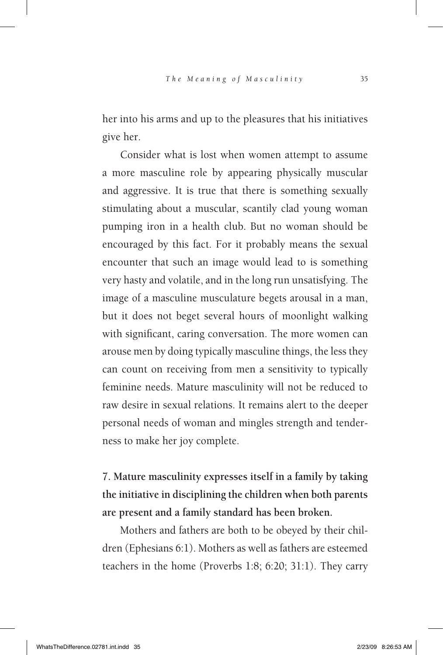her into his arms and up to the pleasures that his initiatives give her.

Consider what is lost when women attempt to assume a more masculine role by appearing physically muscular and aggressive. It is true that there is something sexually stimulating about a muscular, scantily clad young woman pumping iron in a health club. But no woman should be encouraged by this fact. For it probably means the sexual encounter that such an image would lead to is something very hasty and volatile, and in the long run unsatisfying. The image of a masculine musculature begets arousal in a man, but it does not beget several hours of moonlight walking with significant, caring conversation. The more women can arouse men by doing typically masculine things, the less they can count on receiving from men a sensitivity to typically feminine needs. Mature masculinity will not be reduced to raw desire in sexual relations. It remains alert to the deeper personal needs of woman and mingles strength and tenderness to make her joy complete.

**7. Mature masculinity expresses itself in a family by taking the initiative in disciplining the children when both parents are present and a family standard has been broken.**

Mothers and fathers are both to be obeyed by their children (Ephesians 6:1). Mothers as well as fathers are esteemed teachers in the home (Proverbs 1:8; 6:20; 31:1). They carry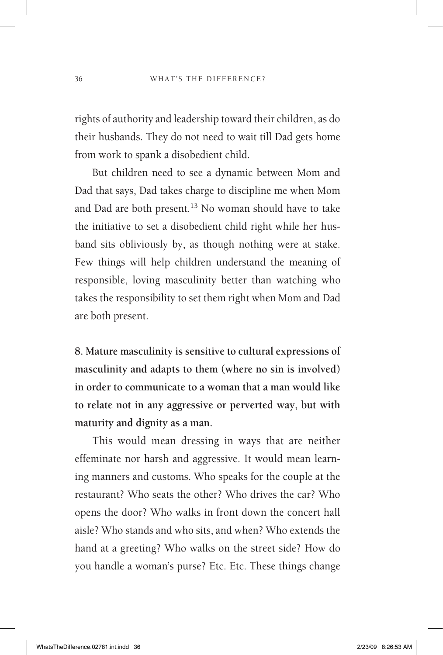rights of authority and leadership toward their children, as do their husbands. They do not need to wait till Dad gets home from work to spank a disobedient child.

But children need to see a dynamic between Mom and Dad that says, Dad takes charge to discipline me when Mom and Dad are both present.<sup>13</sup> No woman should have to take the initiative to set a disobedient child right while her husband sits obliviously by, as though nothing were at stake. Few things will help children understand the meaning of responsible, loving masculinity better than watching who takes the responsibility to set them right when Mom and Dad are both present.

**8. Mature masculinity is sensitive to cultural expressions of masculinity and adapts to them (where no sin is involved) in order to communicate to a woman that a man would like to relate not in any aggressive or perverted way, but with maturity and dignity as a man.**

This would mean dressing in ways that are neither effeminate nor harsh and aggressive. It would mean learning manners and customs. Who speaks for the couple at the restaurant? Who seats the other? Who drives the car? Who opens the door? Who walks in front down the concert hall aisle? Who stands and who sits, and when? Who extends the hand at a greeting? Who walks on the street side? How do you handle a woman's purse? Etc. Etc. These things change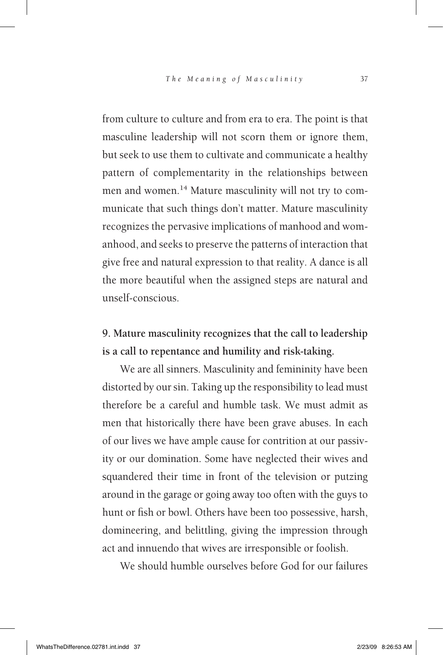from culture to culture and from era to era. The point is that masculine leadership will not scorn them or ignore them, but seek to use them to cultivate and communicate a healthy pattern of complementarity in the relationships between men and women.14 Mature masculinity will not try to communicate that such things don't matter. Mature masculinity recognizes the pervasive implications of manhood and womanhood, and seeks to preserve the patterns of interaction that give free and natural expression to that reality. A dance is all the more beautiful when the assigned steps are natural and unself-conscious.

## **9. Mature masculinity recognizes that the call to leadership is a call to repentance and humility and risk-taking.**

We are all sinners. Masculinity and femininity have been distorted by our sin. Taking up the responsibility to lead must therefore be a careful and humble task. We must admit as men that historically there have been grave abuses. In each of our lives we have ample cause for contrition at our passivity or our domination. Some have neglected their wives and squandered their time in front of the television or putzing around in the garage or going away too often with the guys to hunt or fish or bowl. Others have been too possessive, harsh, domineering, and belittling, giving the impression through act and innuendo that wives are irresponsible or foolish.

We should humble ourselves before God for our failures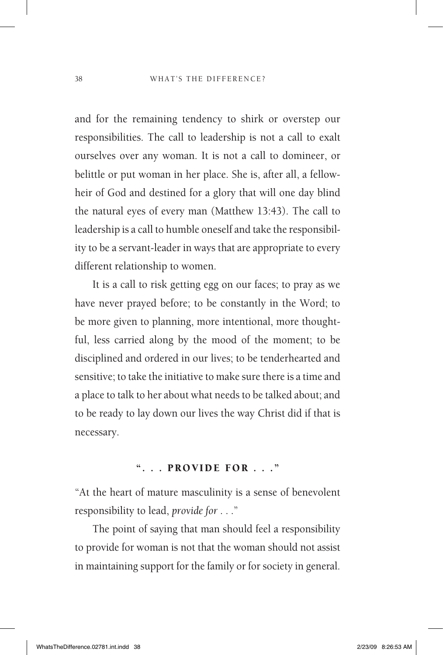and for the remaining tendency to shirk or overstep our responsibilities. The call to leadership is not a call to exalt ourselves over any woman. It is not a call to domineer, or belittle or put woman in her place. She is, after all, a fellowheir of God and destined for a glory that will one day blind the natural eyes of every man (Matthew 13:43). The call to leadership is a call to humble oneself and take the responsibility to be a servant-leader in ways that are appropriate to every different relationship to women.

It is a call to risk getting egg on our faces; to pray as we have never prayed before; to be constantly in the Word; to be more given to planning, more intentional, more thoughtful, less carried along by the mood of the moment; to be disciplined and ordered in our lives; to be tenderhearted and sensitive; to take the initiative to make sure there is a time and a place to talk to her about what needs to be talked about; and to be ready to lay down our lives the way Christ did if that is necessary.

#### ". . . PROVIDE FOR . . ."

"At the heart of mature masculinity is a sense of benevolent responsibility to lead, *provide for* . . ."

The point of saying that man should feel a responsibility to provide for woman is not that the woman should not assist in maintaining support for the family or for society in general.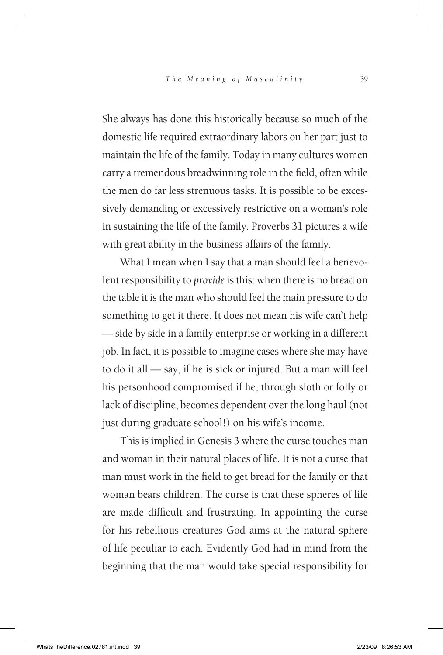She always has done this historically because so much of the domestic life required extraordinary labors on her part just to maintain the life of the family. Today in many cultures women carry a tremendous breadwinning role in the field, often while the men do far less strenuous tasks. It is possible to be excessively demanding or excessively restrictive on a woman's role in sustaining the life of the family. Proverbs 31 pictures a wife with great ability in the business affairs of the family.

What I mean when I say that a man should feel a benevolent responsibility to *provide* is this: when there is no bread on the table it is the man who should feel the main pressure to do something to get it there. It does not mean his wife can't help — side by side in a family enterprise or working in a different job. In fact, it is possible to imagine cases where she may have to do it all — say, if he is sick or injured. But a man will feel his personhood compromised if he, through sloth or folly or lack of discipline, becomes dependent over the long haul (not just during graduate school!) on his wife's income.

This is implied in Genesis 3 where the curse touches man and woman in their natural places of life. It is not a curse that man must work in the field to get bread for the family or that woman bears children. The curse is that these spheres of life are made difficult and frustrating. In appointing the curse for his rebellious creatures God aims at the natural sphere of life peculiar to each. Evidently God had in mind from the beginning that the man would take special responsibility for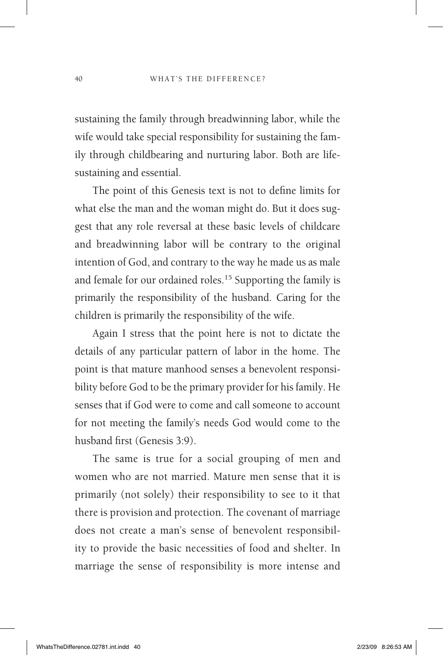sustaining the family through breadwinning labor, while the wife would take special responsibility for sustaining the family through childbearing and nurturing labor. Both are lifesustaining and essential.

The point of this Genesis text is not to define limits for what else the man and the woman might do. But it does suggest that any role reversal at these basic levels of childcare and breadwinning labor will be contrary to the original intention of God, and contrary to the way he made us as male and female for our ordained roles.<sup>15</sup> Supporting the family is primarily the responsibility of the husband. Caring for the children is primarily the responsibility of the wife.

Again I stress that the point here is not to dictate the details of any particular pattern of labor in the home. The point is that mature manhood senses a benevolent responsibility before God to be the primary provider for his family. He senses that if God were to come and call someone to account for not meeting the family's needs God would come to the husband first (Genesis 3:9).

The same is true for a social grouping of men and women who are not married. Mature men sense that it is primarily (not solely) their responsibility to see to it that there is provision and protection. The covenant of marriage does not create a man's sense of benevolent responsibility to provide the basic necessities of food and shelter. In marriage the sense of responsibility is more intense and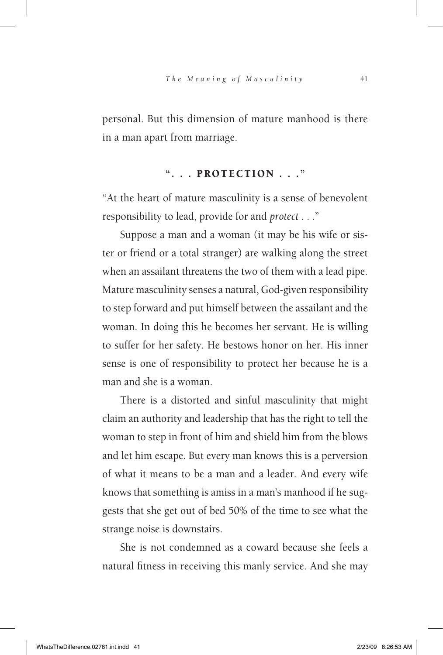personal. But this dimension of mature manhood is there in a man apart from marriage.

### ". . . PROTECTION . . ."

"At the heart of mature masculinity is a sense of benevolent responsibility to lead, provide for and *protect* . . ."

Suppose a man and a woman (it may be his wife or sister or friend or a total stranger) are walking along the street when an assailant threatens the two of them with a lead pipe. Mature masculinity senses a natural, God-given responsibility to step forward and put himself between the assailant and the woman. In doing this he becomes her servant. He is willing to suffer for her safety. He bestows honor on her. His inner sense is one of responsibility to protect her because he is a man and she is a woman.

There is a distorted and sinful masculinity that might claim an authority and leadership that has the right to tell the woman to step in front of him and shield him from the blows and let him escape. But every man knows this is a perversion of what it means to be a man and a leader. And every wife knows that something is amiss in a man's manhood if he suggests that she get out of bed 50% of the time to see what the strange noise is downstairs.

She is not condemned as a coward because she feels a natural fitness in receiving this manly service. And she may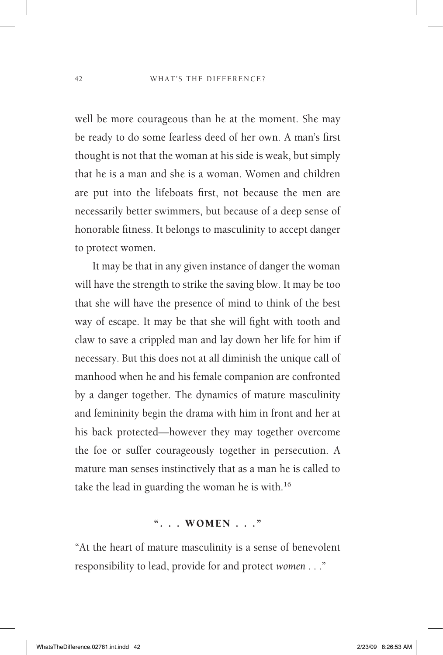well be more courageous than he at the moment. She may be ready to do some fearless deed of her own. A man's first thought is not that the woman at his side is weak, but simply that he is a man and she is a woman. Women and children are put into the lifeboats first, not because the men are necessarily better swimmers, but because of a deep sense of honorable fitness. It belongs to masculinity to accept danger to protect women.

It may be that in any given instance of danger the woman will have the strength to strike the saving blow. It may be too that she will have the presence of mind to think of the best way of escape. It may be that she will fight with tooth and claw to save a crippled man and lay down her life for him if necessary. But this does not at all diminish the unique call of manhood when he and his female companion are confronted by a danger together. The dynamics of mature masculinity and femininity begin the drama with him in front and her at his back protected—however they may together overcome the foe or suffer courageously together in persecution. A mature man senses instinctively that as a man he is called to take the lead in guarding the woman he is with.<sup>16</sup>

### $\cdots$  WOMEN . . . "

"At the heart of mature masculinity is a sense of benevolent responsibility to lead, provide for and protect *women* . . ."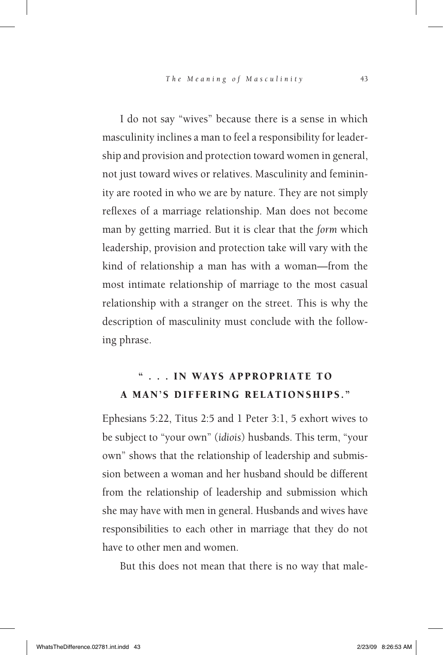I do not say "wives" because there is a sense in which masculinity inclines a man to feel a responsibility for leadership and provision and protection toward women in general, not just toward wives or relatives. Masculinity and femininity are rooted in who we are by nature. They are not simply reflexes of a marriage relationship. Man does not become man by getting married. But it is clear that the *form* which leadership, provision and protection take will vary with the kind of relationship a man has with a woman—from the most intimate relationship of marriage to the most casual relationship with a stranger on the street. This is why the description of masculinity must conclude with the following phrase.

## " . . . IN WAYS APPROPRIATE TO A MAN'S DIFFERING RELATIONSHIPS."

Ephesians 5:22, Titus 2:5 and 1 Peter 3:1, 5 exhort wives to be subject to "your own" (*idiois*) husbands. This term, "your own" shows that the relationship of leadership and submission between a woman and her husband should be different from the relationship of leadership and submission which she may have with men in general. Husbands and wives have responsibilities to each other in marriage that they do not have to other men and women.

But this does not mean that there is no way that male-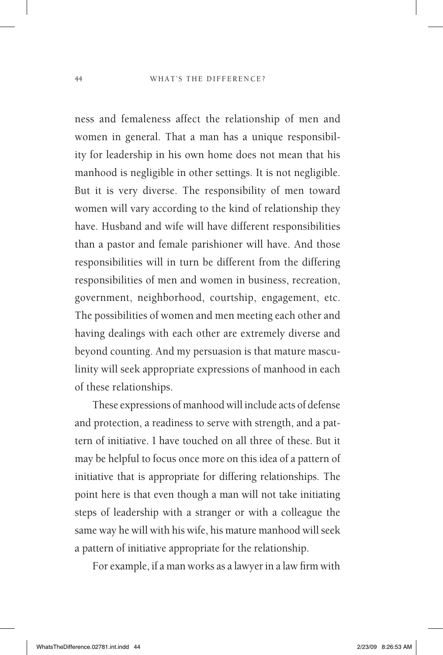ness and femaleness affect the relationship of men and women in general. That a man has a unique responsibility for leadership in his own home does not mean that his manhood is negligible in other settings. It is not negligible. But it is very diverse. The responsibility of men toward women will vary according to the kind of relationship they have. Husband and wife will have different responsibilities than a pastor and female parishioner will have. And those responsibilities will in turn be different from the differing responsibilities of men and women in business, recreation, government, neighborhood, courtship, engagement, etc. The possibilities of women and men meeting each other and having dealings with each other are extremely diverse and beyond counting. And my persuasion is that mature masculinity will seek appropriate expressions of manhood in each of these relationships.

These expressions of manhood will include acts of defense and protection, a readiness to serve with strength, and a pattern of initiative. I have touched on all three of these. But it may be helpful to focus once more on this idea of a pattern of initiative that is appropriate for differing relationships. The point here is that even though a man will not take initiating steps of leadership with a stranger or with a colleague the same way he will with his wife, his mature manhood will seek a pattern of initiative appropriate for the relationship.

For example, if a man works as a lawyer in a law firm with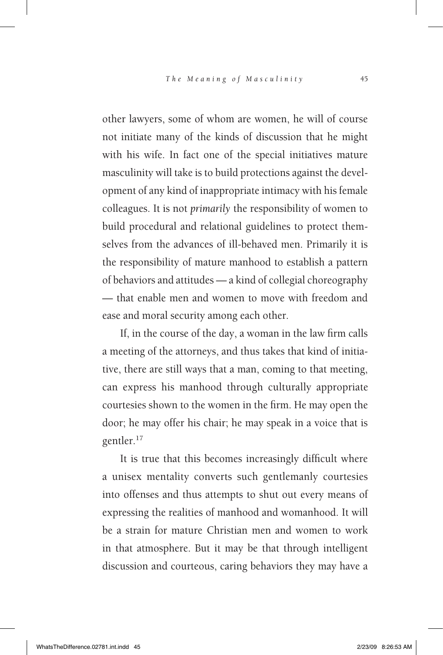other lawyers, some of whom are women, he will of course not initiate many of the kinds of discussion that he might with his wife. In fact one of the special initiatives mature masculinity will take is to build protections against the development of any kind of inappropriate intimacy with his female colleagues. It is not *primarily* the responsibility of women to build procedural and relational guidelines to protect themselves from the advances of ill-behaved men. Primarily it is the responsibility of mature manhood to establish a pattern of behaviors and attitudes — a kind of collegial choreography — that enable men and women to move with freedom and ease and moral security among each other.

If, in the course of the day, a woman in the law firm calls a meeting of the attorneys, and thus takes that kind of initiative, there are still ways that a man, coming to that meeting, can express his manhood through culturally appropriate courtesies shown to the women in the firm. He may open the door; he may offer his chair; he may speak in a voice that is gentler.<sup>17</sup>

It is true that this becomes increasingly difficult where a unisex mentality converts such gentlemanly courtesies into offenses and thus attempts to shut out every means of expressing the realities of manhood and womanhood. It will be a strain for mature Christian men and women to work in that atmosphere. But it may be that through intelligent discussion and courteous, caring behaviors they may have a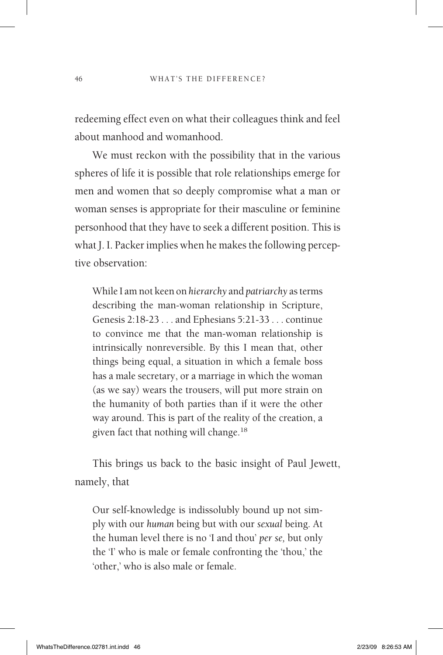redeeming effect even on what their colleagues think and feel about manhood and womanhood.

We must reckon with the possibility that in the various spheres of life it is possible that role relationships emerge for men and women that so deeply compromise what a man or woman senses is appropriate for their masculine or feminine personhood that they have to seek a different position. This is what J. I. Packer implies when he makes the following perceptive observation:

While I am not keen on *hierarchy* and *patriarchy* as terms describing the man-woman relationship in Scripture, Genesis 2:18-23 . . . and Ephesians 5:21-33 . . . continue to convince me that the man-woman relationship is intrinsically nonreversible. By this I mean that, other things being equal, a situation in which a female boss has a male secretary, or a marriage in which the woman (as we say) wears the trousers, will put more strain on the humanity of both parties than if it were the other way around. This is part of the reality of the creation, a given fact that nothing will change.<sup>18</sup>

This brings us back to the basic insight of Paul Jewett, namely, that

Our self-knowledge is indissolubly bound up not simply with our *human* being but with our *sexual* being. At the human level there is no 'I and thou' *per se,* but only the 'I' who is male or female confronting the 'thou,' the 'other,' who is also male or female.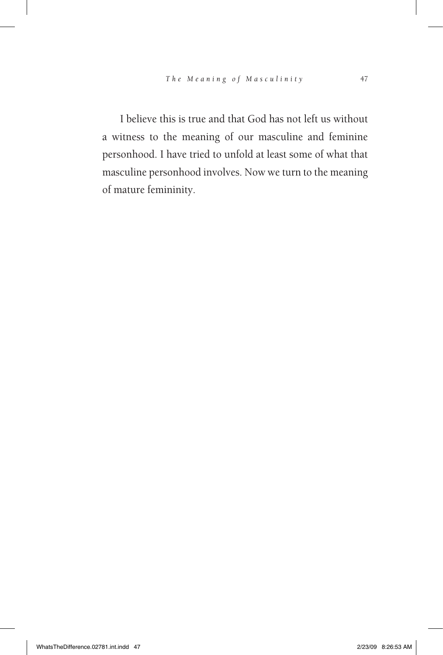I believe this is true and that God has not left us without a witness to the meaning of our masculine and feminine personhood. I have tried to unfold at least some of what that masculine personhood involves. Now we turn to the meaning of mature femininity.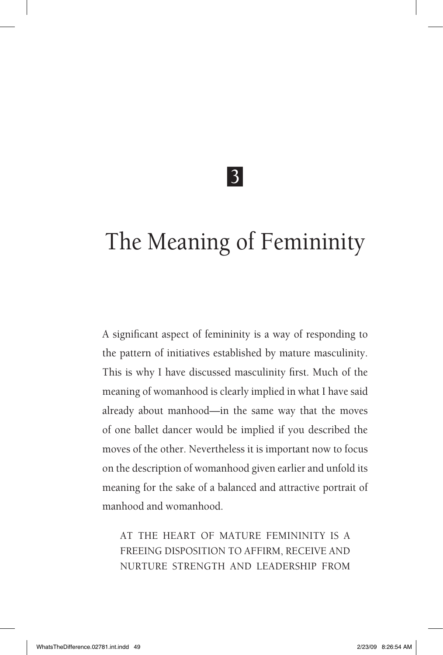n**3**

## The Meaning of Femininity

A significant aspect of femininity is a way of responding to the pattern of initiatives established by mature masculinity. This is why I have discussed masculinity first. Much of the meaning of womanhood is clearly implied in what I have said already about manhood—in the same way that the moves of one ballet dancer would be implied if you described the moves of the other. Nevertheless it is important now to focus on the description of womanhood given earlier and unfold its meaning for the sake of a balanced and attractive portrait of manhood and womanhood.

At the heart of mature femininity is a FREEING disposition to afFIrm, receive and nurture strength and leadership from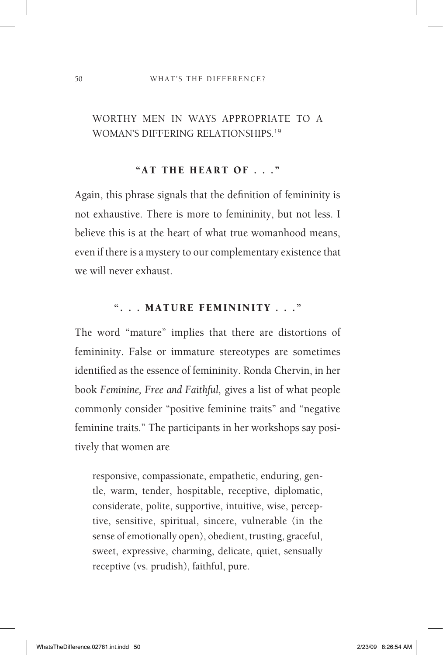#### 50 WHAT'S THE DIFFERENCE?

## worthy men IN WAYS APPROPRIATE TO A WOMAN'S DIFFERING RELATIONSHIPS. 19

### "AT THE HEART OF . . ."

Again, this phrase signals that the definition of femininity is not exhaustive. There is more to femininity, but not less. I believe this is at the heart of what true womanhood means, even if there is a mystery to our complementary existence that we will never exhaust.

#### ". . . mature femininity . . ."

The word "mature" implies that there are distortions of femininity. False or immature stereotypes are sometimes identified as the essence of femininity. Ronda Chervin, in her book *Feminine, Free and Faithful,* gives a list of what people commonly consider "positive feminine traits" and "negative feminine traits." The participants in her workshops say positively that women are

responsive, compassionate, empathetic, enduring, gentle, warm, tender, hospitable, receptive, diplomatic, considerate, polite, supportive, intuitive, wise, perceptive, sensitive, spiritual, sincere, vulnerable (in the sense of emotionally open), obedient, trusting, graceful, sweet, expressive, charming, delicate, quiet, sensually receptive (vs. prudish), faithful, pure.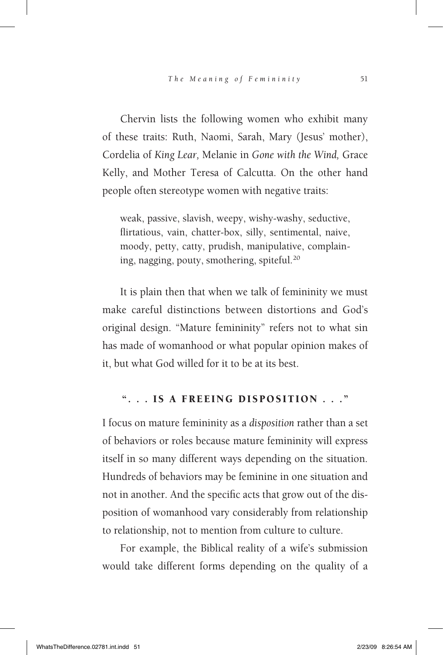Chervin lists the following women who exhibit many of these traits: Ruth, Naomi, Sarah, Mary (Jesus' mother), Cordelia of *King Lear,* Melanie in *Gone with the Wind,* Grace Kelly, and Mother Teresa of Calcutta. On the other hand people often stereotype women with negative traits:

weak, passive, slavish, weepy, wishy-washy, seductive, flirtatious, vain, chatter-box, silly, sentimental, naive, moody, petty, catty, prudish, manipulative, complaining, nagging, pouty, smothering, spiteful.<sup>20</sup>

It is plain then that when we talk of femininity we must make careful distinctions between distortions and God's original design. "Mature femininity" refers not to what sin has made of womanhood or what popular opinion makes of it, but what God willed for it to be at its best.

#### ". . . is a FREEING disposition . . ."

I focus on mature femininity as a *disposition* rather than a set of behaviors or roles because mature femininity will express itself in so many different ways depending on the situation. Hundreds of behaviors may be feminine in one situation and not in another. And the specific acts that grow out of the disposition of womanhood vary considerably from relationship to relationship, not to mention from culture to culture.

For example, the Biblical reality of a wife's submission would take different forms depending on the quality of a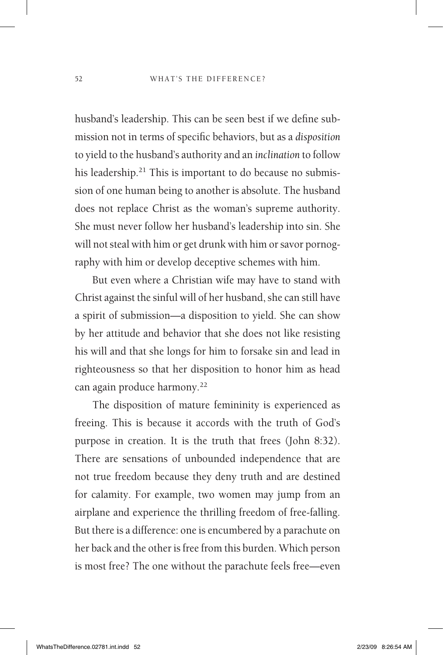husband's leadership. This can be seen best if we define submission not in terms of specific behaviors, but as a *disposition* to yield to the husband's authority and an *inclination* to follow his leadership.<sup>21</sup> This is important to do because no submission of one human being to another is absolute. The husband does not replace Christ as the woman's supreme authority. She must never follow her husband's leadership into sin. She will not steal with him or get drunk with him or savor pornography with him or develop deceptive schemes with him.

But even where a Christian wife may have to stand with Christ against the sinful will of her husband, she can still have a spirit of submission—a disposition to yield. She can show by her attitude and behavior that she does not like resisting his will and that she longs for him to forsake sin and lead in righteousness so that her disposition to honor him as head can again produce harmony.<sup>22</sup>

The disposition of mature femininity is experienced as freeing. This is because it accords with the truth of God's purpose in creation. It is the truth that frees (John 8:32). There are sensations of unbounded independence that are not true freedom because they deny truth and are destined for calamity. For example, two women may jump from an airplane and experience the thrilling freedom of free-falling. But there is a difference: one is encumbered by a parachute on her back and the other is free from this burden. Which person is most free? The one without the parachute feels free—even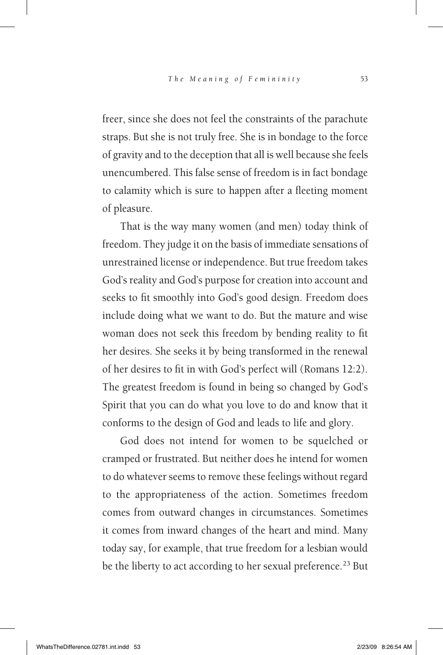freer, since she does not feel the constraints of the parachute straps. But she is not truly free. She is in bondage to the force of gravity and to the deception that all is well because she feels unencumbered. This false sense of freedom is in fact bondage to calamity which is sure to happen after a fleeting moment of pleasure.

That is the way many women (and men) today think of freedom. They judge it on the basis of immediate sensations of unrestrained license or independence. But true freedom takes God's reality and God's purpose for creation into account and seeks to fit smoothly into God's good design. Freedom does include doing what we want to do. But the mature and wise woman does not seek this freedom by bending reality to fit her desires. She seeks it by being transformed in the renewal of her desires to fit in with God's perfect will (Romans 12:2). The greatest freedom is found in being so changed by God's Spirit that you can do what you love to do and know that it conforms to the design of God and leads to life and glory.

God does not intend for women to be squelched or cramped or frustrated. But neither does he intend for women to do whatever seems to remove these feelings without regard to the appropriateness of the action. Sometimes freedom comes from outward changes in circumstances. Sometimes it comes from inward changes of the heart and mind. Many today say, for example, that true freedom for a lesbian would be the liberty to act according to her sexual preference.<sup>23</sup> But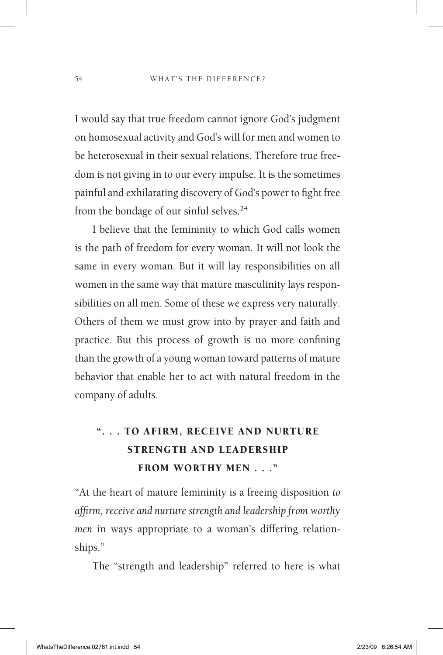I would say that true freedom cannot ignore God's judgment on homosexual activity and God's will for men and women to be heterosexual in their sexual relations. Therefore true freedom is not giving in to our every impulse. It is the sometimes painful and exhilarating discovery of God's power to fight free from the bondage of our sinful selves.<sup>24</sup>

I believe that the femininity to which God calls women is the path of freedom for every woman. It will not look the same in every woman. But it will lay responsibilities on all women in the same way that mature masculinity lays responsibilities on all men. Some of these we express very naturally. Others of them we must grow into by prayer and faith and practice. But this process of growth is no more confining than the growth of a young woman toward patterns of mature behavior that enable her to act with natural freedom in the company of adults.

## ". . . to afirm, receive and nurture strength and leadership from worthy men . . ."

"At the heart of mature femininity is a freeing disposition *to affirm, receive and nurture strength and leadership from worthy men* in ways appropriate to a woman's differing relationships."

The "strength and leadership" referred to here is what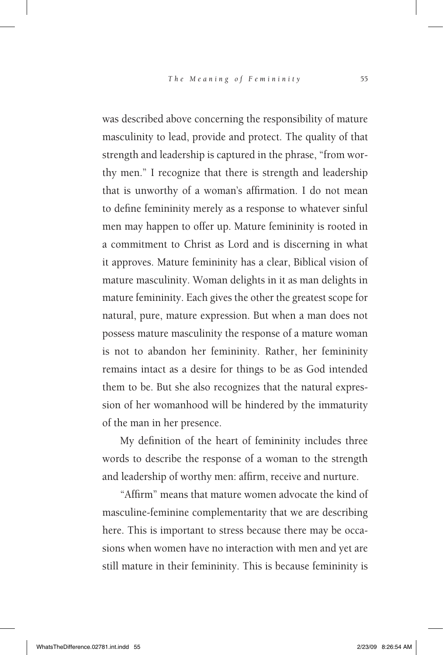was described above concerning the responsibility of mature masculinity to lead, provide and protect. The quality of that strength and leadership is captured in the phrase, "from worthy men." I recognize that there is strength and leadership that is unworthy of a woman's affirmation. I do not mean to define femininity merely as a response to whatever sinful men may happen to offer up. Mature femininity is rooted in a commitment to Christ as Lord and is discerning in what it approves. Mature femininity has a clear, Biblical vision of mature masculinity. Woman delights in it as man delights in mature femininity. Each gives the other the greatest scope for natural, pure, mature expression. But when a man does not possess mature masculinity the response of a mature woman is not to abandon her femininity. Rather, her femininity remains intact as a desire for things to be as God intended them to be. But she also recognizes that the natural expression of her womanhood will be hindered by the immaturity of the man in her presence.

My definition of the heart of femininity includes three words to describe the response of a woman to the strength and leadership of worthy men: affirm, receive and nurture.

"Affirm" means that mature women advocate the kind of masculine-feminine complementarity that we are describing here. This is important to stress because there may be occasions when women have no interaction with men and yet are still mature in their femininity. This is because femininity is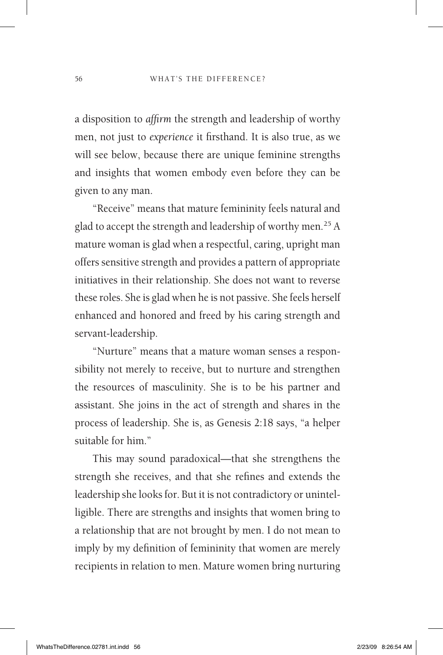a disposition to *affirm* the strength and leadership of worthy men, not just to *experience* it firsthand. It is also true, as we will see below, because there are unique feminine strengths and insights that women embody even before they can be given to any man.

"Receive" means that mature femininity feels natural and glad to accept the strength and leadership of worthy men.<sup>25</sup> A mature woman is glad when a respectful, caring, upright man offers sensitive strength and provides a pattern of appropriate initiatives in their relationship. She does not want to reverse these roles. She is glad when he is not passive. She feels herself enhanced and honored and freed by his caring strength and servant-leadership.

"Nurture" means that a mature woman senses a responsibility not merely to receive, but to nurture and strengthen the resources of masculinity. She is to be his partner and assistant. She joins in the act of strength and shares in the process of leadership. She is, as Genesis 2:18 says, "a helper suitable for him."

This may sound paradoxical—that she strengthens the strength she receives, and that she refines and extends the leadership she looks for. But it is not contradictory or unintelligible. There are strengths and insights that women bring to a relationship that are not brought by men. I do not mean to imply by my definition of femininity that women are merely recipients in relation to men. Mature women bring nurturing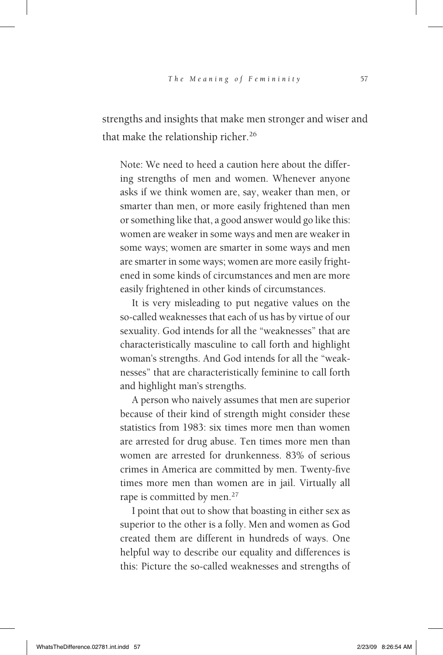strengths and insights that make men stronger and wiser and that make the relationship richer.<sup>26</sup>

Note: We need to heed a caution here about the differing strengths of men and women. Whenever anyone asks if we think women are, say, weaker than men, or smarter than men, or more easily frightened than men or something like that, a good answer would go like this: women are weaker in some ways and men are weaker in some ways; women are smarter in some ways and men are smarter in some ways; women are more easily frightened in some kinds of circumstances and men are more easily frightened in other kinds of circumstances.

It is very misleading to put negative values on the so-called weaknesses that each of us has by virtue of our sexuality. God intends for all the "weaknesses" that are characteristically masculine to call forth and highlight woman's strengths. And God intends for all the "weaknesses" that are characteristically feminine to call forth and highlight man's strengths.

A person who naively assumes that men are superior because of their kind of strength might consider these statistics from 1983: six times more men than women are arrested for drug abuse. Ten times more men than women are arrested for drunkenness. 83% of serious crimes in America are committed by men. Twenty-five times more men than women are in jail. Virtually all rape is committed by men.<sup>27</sup>

I point that out to show that boasting in either sex as superior to the other is a folly. Men and women as God created them are different in hundreds of ways. One helpful way to describe our equality and differences is this: Picture the so-called weaknesses and strengths of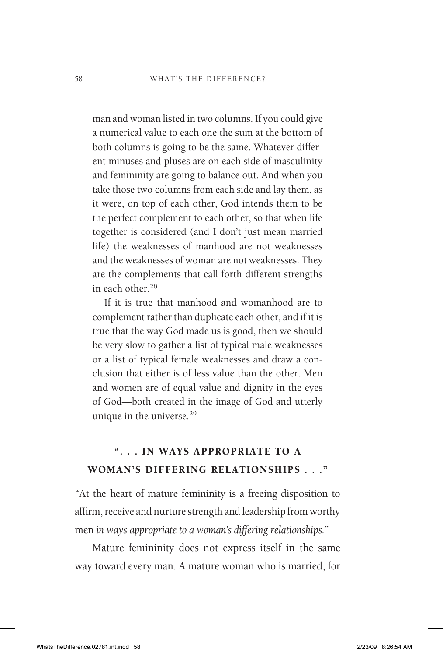man and woman listed in two columns. If you could give a numerical value to each one the sum at the bottom of both columns is going to be the same. Whatever different minuses and pluses are on each side of masculinity and femininity are going to balance out. And when you take those two columns from each side and lay them, as it were, on top of each other, God intends them to be the perfect complement to each other, so that when life together is considered (and I don't just mean married life) the weaknesses of manhood are not weaknesses and the weaknesses of woman are not weaknesses. They are the complements that call forth different strengths in each other.<sup>28</sup>

If it is true that manhood and womanhood are to complement rather than duplicate each other, and if it is true that the way God made us is good, then we should be very slow to gather a list of typical male weaknesses or a list of typical female weaknesses and draw a conclusion that either is of less value than the other. Men and women are of equal value and dignity in the eyes of God—both created in the image of God and utterly unique in the universe.<sup>29</sup>

## ". . . IN WAYS APPROPRIATE TO A WOMAN'S differing relationships . . ."

"At the heart of mature femininity is a freeing disposition to affirm, receive and nurture strength and leadership from worthy men *in ways appropriate to a woman's differing relationships.*"

Mature femininity does not express itself in the same way toward every man. A mature woman who is married, for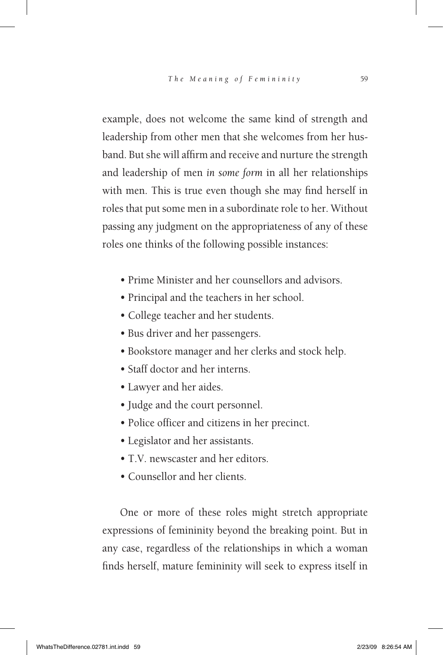example, does not welcome the same kind of strength and leadership from other men that she welcomes from her husband. But she will affirm and receive and nurture the strength and leadership of men *in some form* in all her relationships with men. This is true even though she may find herself in roles that put some men in a subordinate role to her. Without passing any judgment on the appropriateness of any of these roles one thinks of the following possible instances:

- Prime Minister and her counsellors and advisors.
- Principal and the teachers in her school.
- College teacher and her students.
- Bus driver and her passengers.
- Bookstore manager and her clerks and stock help.
- Staff doctor and her interns.
- Lawyer and her aides.
- Judge and the court personnel.
- Police officer and citizens in her precinct.
- Legislator and her assistants.
- T.V. newscaster and her editors.
- Counsellor and her clients.

One or more of these roles might stretch appropriate expressions of femininity beyond the breaking point. But in any case, regardless of the relationships in which a woman finds herself, mature femininity will seek to express itself in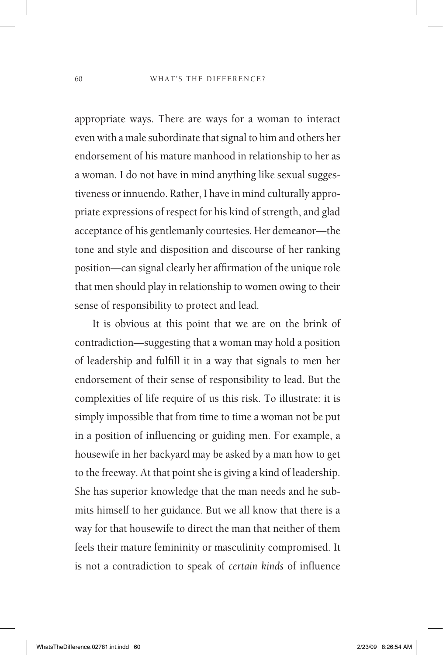appropriate ways. There are ways for a woman to interact even with a male subordinate that signal to him and others her endorsement of his mature manhood in relationship to her as a woman. I do not have in mind anything like sexual suggestiveness or innuendo. Rather, I have in mind culturally appropriate expressions of respect for his kind of strength, and glad acceptance of his gentlemanly courtesies. Her demeanor—the tone and style and disposition and discourse of her ranking position—can signal clearly her affirmation of the unique role that men should play in relationship to women owing to their sense of responsibility to protect and lead.

It is obvious at this point that we are on the brink of contradiction—suggesting that a woman may hold a position of leadership and fulfill it in a way that signals to men her endorsement of their sense of responsibility to lead. But the complexities of life require of us this risk. To illustrate: it is simply impossible that from time to time a woman not be put in a position of influencing or guiding men. For example, a housewife in her backyard may be asked by a man how to get to the freeway. At that point she is giving a kind of leadership. She has superior knowledge that the man needs and he submits himself to her guidance. But we all know that there is a way for that housewife to direct the man that neither of them feels their mature femininity or masculinity compromised. It is not a contradiction to speak of *certain kinds* of influence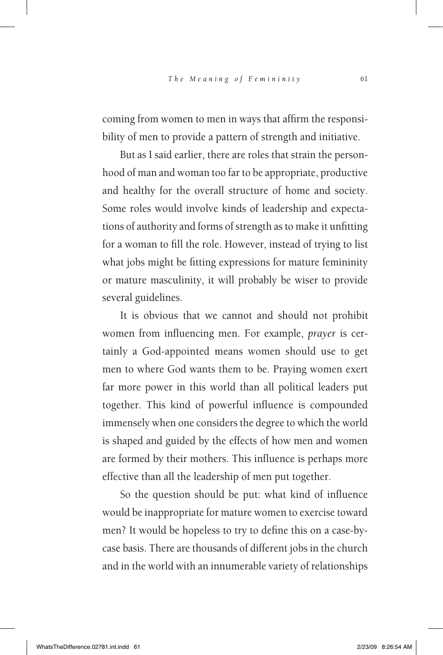coming from women to men in ways that affirm the responsibility of men to provide a pattern of strength and initiative.

But as I said earlier, there are roles that strain the personhood of man and woman too far to be appropriate, productive and healthy for the overall structure of home and society. Some roles would involve kinds of leadership and expectations of authority and forms of strength as to make it unfitting for a woman to fill the role. However, instead of trying to list what jobs might be fitting expressions for mature femininity or mature masculinity, it will probably be wiser to provide several guidelines.

It is obvious that we cannot and should not prohibit women from influencing men. For example, *prayer* is certainly a God-appointed means women should use to get men to where God wants them to be. Praying women exert far more power in this world than all political leaders put together. This kind of powerful influence is compounded immensely when one considers the degree to which the world is shaped and guided by the effects of how men and women are formed by their mothers. This influence is perhaps more effective than all the leadership of men put together.

So the question should be put: what kind of influence would be inappropriate for mature women to exercise toward men? It would be hopeless to try to define this on a case-bycase basis. There are thousands of different jobs in the church and in the world with an innumerable variety of relationships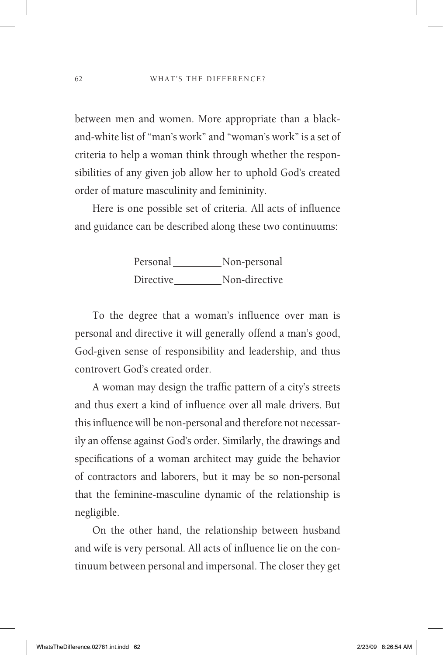between men and women. More appropriate than a blackand-white list of "man's work" and "woman's work" is a set of criteria to help a woman think through whether the responsibilities of any given job allow her to uphold God's created order of mature masculinity and femininity.

Here is one possible set of criteria. All acts of influence and guidance can be described along these two continuums:

> Personal Non-personal Directive Non-directive

To the degree that a woman's influence over man is personal and directive it will generally offend a man's good, God-given sense of responsibility and leadership, and thus controvert God's created order.

A woman may design the traffic pattern of a city's streets and thus exert a kind of influence over all male drivers. But this influence will be non-personal and therefore not necessarily an offense against God's order. Similarly, the drawings and specifications of a woman architect may guide the behavior of contractors and laborers, but it may be so non-personal that the feminine-masculine dynamic of the relationship is negligible.

On the other hand, the relationship between husband and wife is very personal. All acts of influence lie on the continuum between personal and impersonal. The closer they get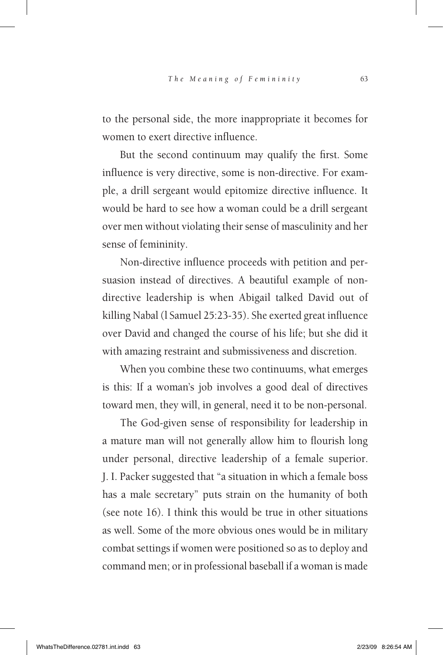to the personal side, the more inappropriate it becomes for women to exert directive influence.

But the second continuum may qualify the first. Some influence is very directive, some is non-directive. For example, a drill sergeant would epitomize directive influence. It would be hard to see how a woman could be a drill sergeant over men without violating their sense of masculinity and her sense of femininity.

Non-directive influence proceeds with petition and persuasion instead of directives. A beautiful example of nondirective leadership is when Abigail talked David out of killing Nabal (l Samuel 25:23-35). She exerted great influence over David and changed the course of his life; but she did it with amazing restraint and submissiveness and discretion.

When you combine these two continuums, what emerges is this: If a woman's job involves a good deal of directives toward men, they will, in general, need it to be non-personal.

The God-given sense of responsibility for leadership in a mature man will not generally allow him to flourish long under personal, directive leadership of a female superior. J. I. Packer suggested that "a situation in which a female boss has a male secretary" puts strain on the humanity of both (see note 16). I think this would be true in other situations as well. Some of the more obvious ones would be in military combat settings if women were positioned so as to deploy and command men; or in professional baseball if a woman is made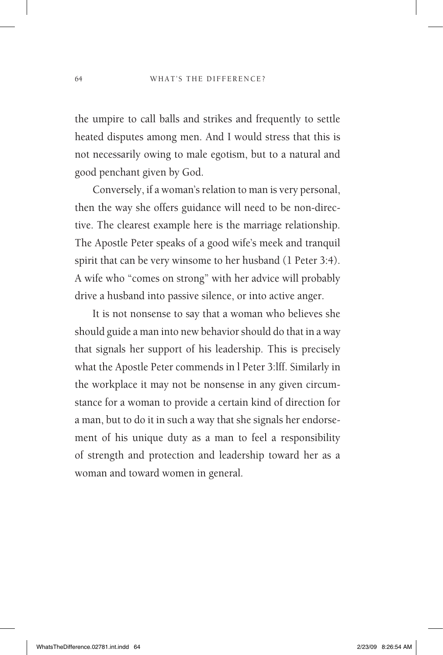the umpire to call balls and strikes and frequently to settle heated disputes among men. And I would stress that this is not necessarily owing to male egotism, but to a natural and good penchant given by God.

Conversely, if a woman's relation to man is very personal, then the way she offers guidance will need to be non-directive. The clearest example here is the marriage relationship. The Apostle Peter speaks of a good wife's meek and tranquil spirit that can be very winsome to her husband (1 Peter 3:4). A wife who "comes on strong" with her advice will probably drive a husband into passive silence, or into active anger.

It is not nonsense to say that a woman who believes she should guide a man into new behavior should do that in a way that signals her support of his leadership. This is precisely what the Apostle Peter commends in l Peter 3:lff. Similarly in the workplace it may not be nonsense in any given circumstance for a woman to provide a certain kind of direction for a man, but to do it in such a way that she signals her endorsement of his unique duty as a man to feel a responsibility of strength and protection and leadership toward her as a woman and toward women in general.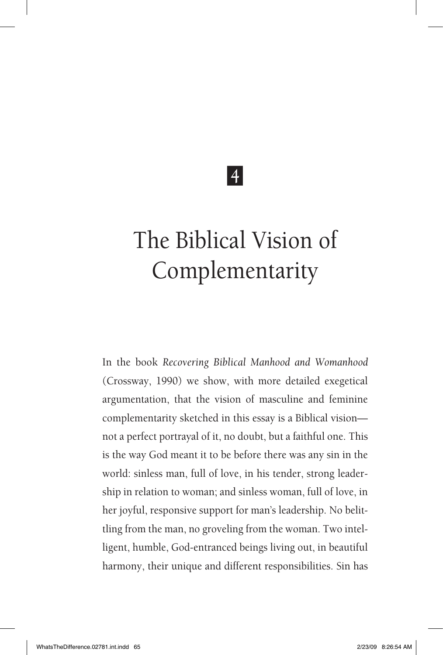n**4**

# The Biblical Vision of **Complementarity**

In the book *Recovering Biblical Manhood and Womanhood* (Crossway, 1990) we show, with more detailed exegetical argumentation, that the vision of masculine and feminine complementarity sketched in this essay is a Biblical vision not a perfect portrayal of it, no doubt, but a faithful one. This is the way God meant it to be before there was any sin in the world: sinless man, full of love, in his tender, strong leadership in relation to woman; and sinless woman, full of love, in her joyful, responsive support for man's leadership. No belittling from the man, no groveling from the woman. Two intelligent, humble, God-entranced beings living out, in beautiful harmony, their unique and different responsibilities. Sin has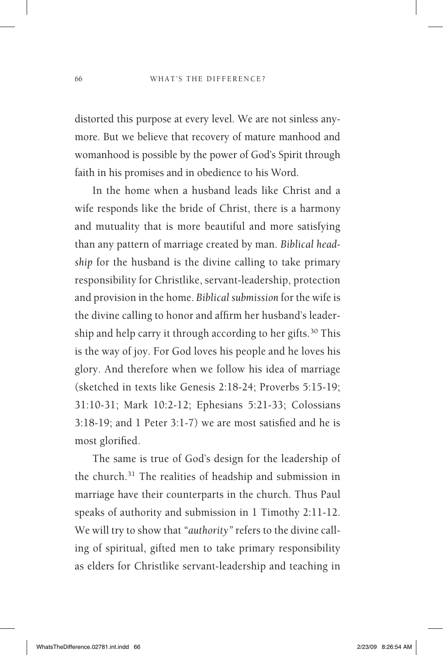#### 66 what's the difference?

distorted this purpose at every level. We are not sinless anymore. But we believe that recovery of mature manhood and womanhood is possible by the power of God's Spirit through faith in his promises and in obedience to his Word.

In the home when a husband leads like Christ and a wife responds like the bride of Christ, there is a harmony and mutuality that is more beautiful and more satisfying than any pattern of marriage created by man. *Biblical headship* for the husband is the divine calling to take primary responsibility for Christlike, servant-leadership, protection and provision in the home. *Biblical submission* for the wife is the divine calling to honor and affirm her husband's leadership and help carry it through according to her gifts.<sup>30</sup> This is the way of joy. For God loves his people and he loves his glory. And therefore when we follow his idea of marriage (sketched in texts like Genesis 2:18-24; Proverbs 5:15-19; 31:10-31; Mark 10:2-12; Ephesians 5:21-33; Colossians 3:18-19; and 1 Peter 3:1-7) we are most satisfied and he is most glorified.

The same is true of God's design for the leadership of the church.<sup>31</sup> The realities of headship and submission in marriage have their counterparts in the church. Thus Paul speaks of authority and submission in 1 Timothy 2:11-12. We will try to show that *"authority"* refers to the divine calling of spiritual, gifted men to take primary responsibility as elders for Christlike servant-leadership and teaching in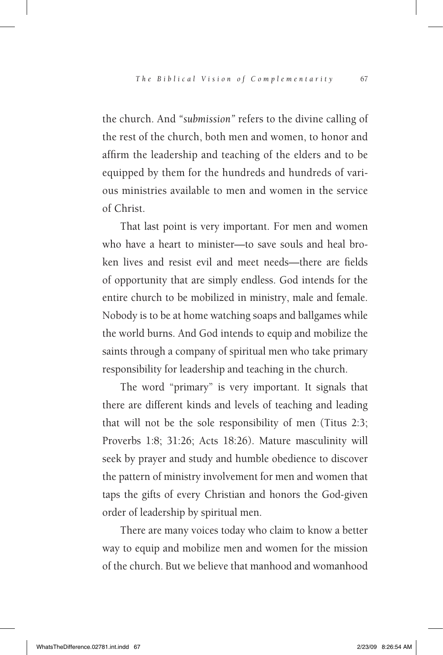the church. And *"submission"* refers to the divine calling of the rest of the church, both men and women, to honor and affirm the leadership and teaching of the elders and to be equipped by them for the hundreds and hundreds of various ministries available to men and women in the service of Christ.

That last point is very important. For men and women who have a heart to minister—to save souls and heal broken lives and resist evil and meet needs—there are fields of opportunity that are simply endless. God intends for the entire church to be mobilized in ministry, male and female. Nobody is to be at home watching soaps and ballgames while the world burns. And God intends to equip and mobilize the saints through a company of spiritual men who take primary responsibility for leadership and teaching in the church.

The word "primary" is very important. It signals that there are different kinds and levels of teaching and leading that will not be the sole responsibility of men (Titus 2:3; Proverbs 1:8; 31:26; Acts 18:26). Mature masculinity will seek by prayer and study and humble obedience to discover the pattern of ministry involvement for men and women that taps the gifts of every Christian and honors the God-given order of leadership by spiritual men.

There are many voices today who claim to know a better way to equip and mobilize men and women for the mission of the church. But we believe that manhood and womanhood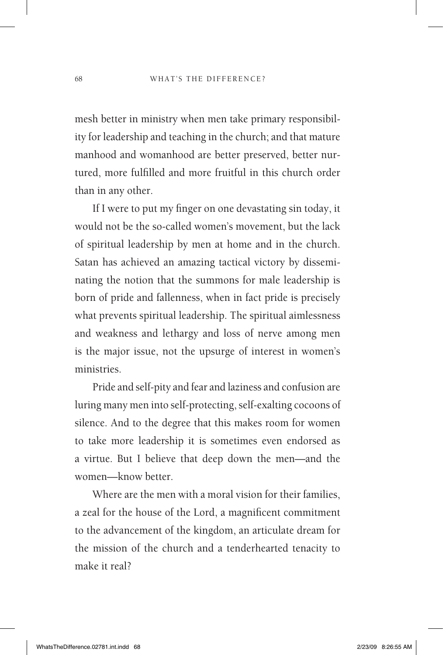mesh better in ministry when men take primary responsibility for leadership and teaching in the church; and that mature manhood and womanhood are better preserved, better nurtured, more fulfilled and more fruitful in this church order than in any other.

If I were to put my finger on one devastating sin today, it would not be the so-called women's movement, but the lack of spiritual leadership by men at home and in the church. Satan has achieved an amazing tactical victory by disseminating the notion that the summons for male leadership is born of pride and fallenness, when in fact pride is precisely what prevents spiritual leadership. The spiritual aimlessness and weakness and lethargy and loss of nerve among men is the major issue, not the upsurge of interest in women's ministries.

Pride and self-pity and fear and laziness and confusion are luring many men into self-protecting, self-exalting cocoons of silence. And to the degree that this makes room for women to take more leadership it is sometimes even endorsed as a virtue. But I believe that deep down the men—and the women—know better.

Where are the men with a moral vision for their families, a zeal for the house of the Lord, a magnificent commitment to the advancement of the kingdom, an articulate dream for the mission of the church and a tenderhearted tenacity to make it real?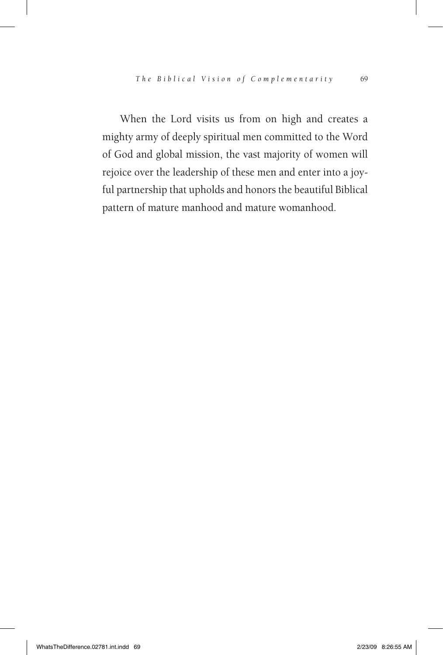When the Lord visits us from on high and creates a mighty army of deeply spiritual men committed to the Word of God and global mission, the vast majority of women will rejoice over the leadership of these men and enter into a joyful partnership that upholds and honors the beautiful Biblical pattern of mature manhood and mature womanhood.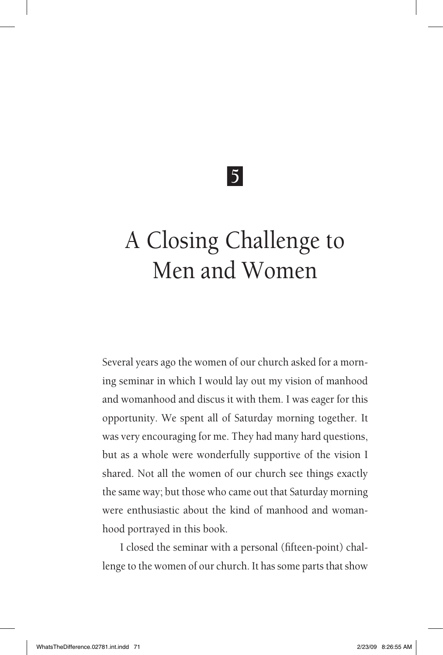n**5**

# A Closing Challenge to Men and Women

Several years ago the women of our church asked for a morning seminar in which I would lay out my vision of manhood and womanhood and discus it with them. I was eager for this opportunity. We spent all of Saturday morning together. It was very encouraging for me. They had many hard questions, but as a whole were wonderfully supportive of the vision I shared. Not all the women of our church see things exactly the same way; but those who came out that Saturday morning were enthusiastic about the kind of manhood and womanhood portrayed in this book.

I closed the seminar with a personal (fifteen-point) challenge to the women of our church. It has some parts that show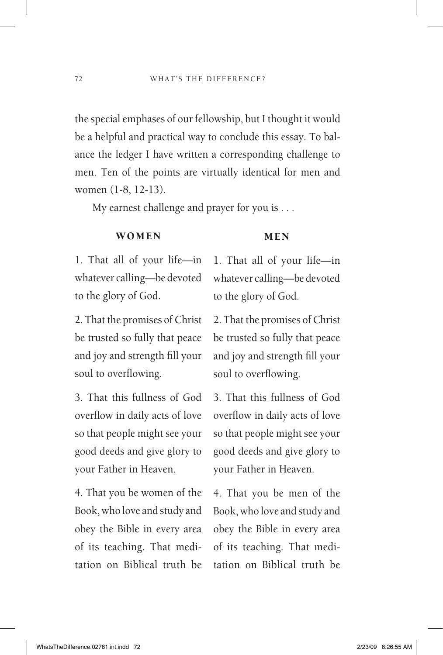the special emphases of our fellowship, but I thought it would be a helpful and practical way to conclude this essay. To balance the ledger I have written a corresponding challenge to men. Ten of the points are virtually identical for men and women (1-8, 12-13).

My earnest challenge and prayer for you is . . .

#### **WOMEN**

#### **MEN**

1. That all of your life—in whatever calling—be devoted to the glory of God.

2. That the promises of Christ be trusted so fully that peace and joy and strength fill your soul to overflowing.

3. That this fullness of God overflow in daily acts of love so that people might see your good deeds and give glory to your Father in Heaven.

4. That you be women of the Book, who love and study and obey the Bible in every area of its teaching. That meditation on Biblical truth be 1. That all of your life—in whatever calling—be devoted to the glory of God.

2. That the promises of Christ be trusted so fully that peace and joy and strength fill your soul to overflowing.

3. That this fullness of God overflow in daily acts of love so that people might see your good deeds and give glory to your Father in Heaven.

4. That you be men of the Book, who love and study and obey the Bible in every area of its teaching. That meditation on Biblical truth be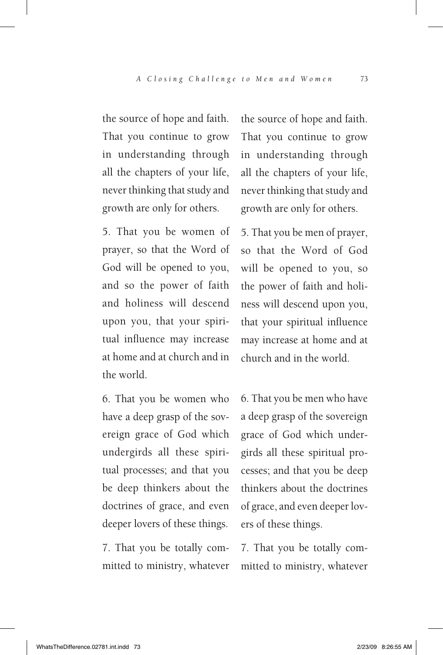the source of hope and faith. That you continue to grow in understanding through all the chapters of your life, never thinking that study and growth are only for others.

5. That you be women of prayer, so that the Word of God will be opened to you, and so the power of faith and holiness will descend upon you, that your spiritual influence may increase at home and at church and in the world.

6. That you be women who have a deep grasp of the sovereign grace of God which undergirds all these spiritual processes; and that you be deep thinkers about the doctrines of grace, and even deeper lovers of these things.

7. That you be totally committed to ministry, whatever the source of hope and faith. That you continue to grow in understanding through all the chapters of your life, never thinking that study and growth are only for others.

5. That you be men of prayer, so that the Word of God will be opened to you, so the power of faith and holiness will descend upon you, that your spiritual influence may increase at home and at church and in the world.

6. That you be men who have a deep grasp of the sovereign grace of God which undergirds all these spiritual processes; and that you be deep thinkers about the doctrines of grace, and even deeper lovers of these things.

7. That you be totally committed to ministry, whatever

WhatsTheDifference.02781.int.indd 73 2/23/09 8:26:55 AM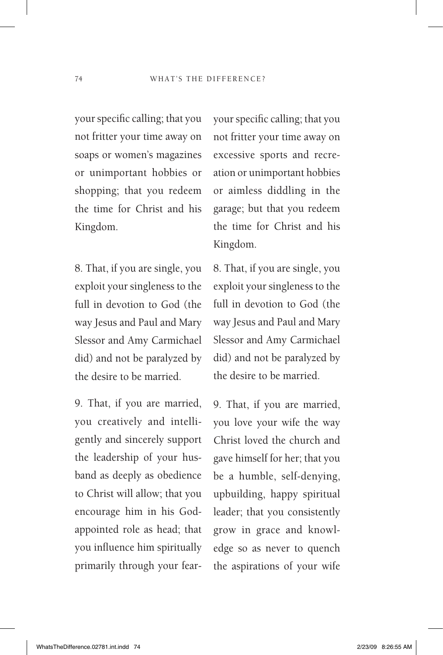your specific calling; that you not fritter your time away on soaps or women's magazines or unimportant hobbies or shopping; that you redeem the time for Christ and his Kingdom.

8. That, if you are single, you exploit your singleness to the full in devotion to God (the way Jesus and Paul and Mary Slessor and Amy Carmichael did) and not be paralyzed by the desire to be married.

9. That, if you are married, you creatively and intelligently and sincerely support the leadership of your husband as deeply as obedience to Christ will allow; that you encourage him in his Godappointed role as head; that you influence him spiritually primarily through your fearyour specific calling; that you not fritter your time away on excessive sports and recreation or unimportant hobbies or aimless diddling in the garage; but that you redeem the time for Christ and his Kingdom.

8. That, if you are single, you exploit your singleness to the full in devotion to God (the way Jesus and Paul and Mary Slessor and Amy Carmichael did) and not be paralyzed by the desire to be married.

9. That, if you are married, you love your wife the way Christ loved the church and gave himself for her; that you be a humble, self-denying, upbuilding, happy spiritual leader; that you consistently grow in grace and knowledge so as never to quench the aspirations of your wife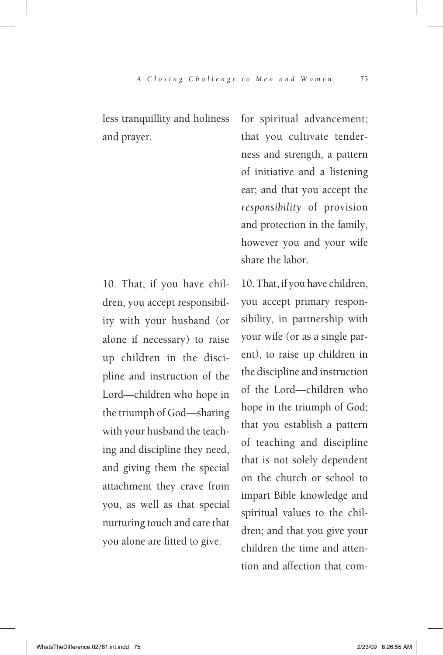less tranquillity and holiness and prayer.

10. That, if you have children, you accept responsibility with your husband (or alone if necessary) to raise up children in the discipline and instruction of the Lord—children who hope in the triumph of God—sharing with your husband the teaching and discipline they need, and giving them the special attachment they crave from you, as well as that special nurturing touch and care that you alone are fitted to give.

for spiritual advancement; that you cultivate tenderness and strength, a pattern of initiative and a listening ear; and that you accept the *responsibility* of provision and protection in the family, however you and your wife share the labor.

10. That, if you have children, you accept primary responsibility, in partnership with your wife (or as a single parent), to raise up children in the discipline and instruction of the Lord—children who hope in the triumph of God; that you establish a pattern of teaching and discipline that is not solely dependent on the church or school to impart Bible knowledge and spiritual values to the children; and that you give your children the time and attention and affection that com-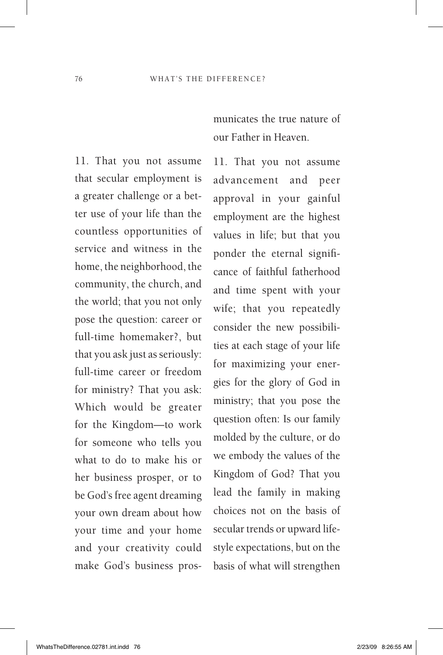11. That you not assume that secular employment is a greater challenge or a better use of your life than the countless opportunities of service and witness in the home, the neighborhood, the community, the church, and the world; that you not only pose the question: career or full-time homemaker?, but that you ask just as seriously: full-time career or freedom for ministry? That you ask: Which would be greater for the Kingdom—to work for someone who tells you what to do to make his or her business prosper, or to be God's free agent dreaming your own dream about how your time and your home and your creativity could make God's business prosmunicates the true nature of our Father in Heaven.

11. That you not assume advancement and peer approval in your gainful employment are the highest values in life; but that you ponder the eternal significance of faithful fatherhood and time spent with your wife; that you repeatedly consider the new possibilities at each stage of your life for maximizing your energies for the glory of God in ministry; that you pose the question often: Is our family molded by the culture, or do we embody the values of the Kingdom of God? That you lead the family in making choices not on the basis of secular trends or upward lifestyle expectations, but on the basis of what will strengthen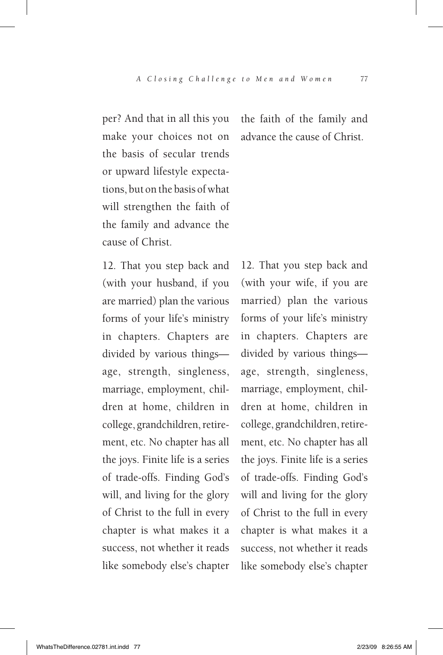per? And that in all this you make your choices not on the basis of secular trends or upward lifestyle expectations, but on the basis of what will strengthen the faith of the family and advance the cause of Christ.

12. That you step back and (with your husband, if you are married) plan the various forms of your life's ministry in chapters. Chapters are divided by various things age, strength, singleness, marriage, employment, children at home, children in college, grandchildren, retirement, etc. No chapter has all the joys. Finite life is a series of trade-offs. Finding God's will, and living for the glory of Christ to the full in every chapter is what makes it a success, not whether it reads like somebody else's chapter the faith of the family and advance the cause of Christ.

12. That you step back and (with your wife, if you are married) plan the various forms of your life's ministry in chapters. Chapters are divided by various things age, strength, singleness, marriage, employment, children at home, children in college, grandchildren, retirement, etc. No chapter has all the joys. Finite life is a series of trade-offs. Finding God's will and living for the glory of Christ to the full in every chapter is what makes it a success, not whether it reads like somebody else's chapter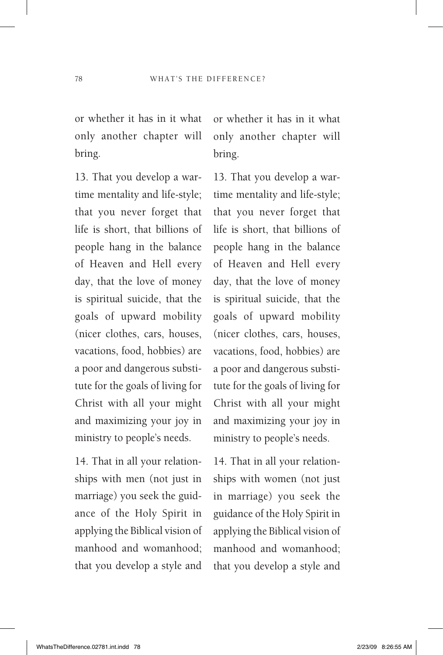or whether it has in it what only another chapter will bring.

13. That you develop a wartime mentality and life-style; that you never forget that life is short, that billions of people hang in the balance of Heaven and Hell every day, that the love of money is spiritual suicide, that the goals of upward mobility (nicer clothes, cars, houses, vacations, food, hobbies) are a poor and dangerous substitute for the goals of living for Christ with all your might and maximizing your joy in ministry to people's needs.

14. That in all your relationships with men (not just in marriage) you seek the guidance of the Holy Spirit in applying the Biblical vision of manhood and womanhood; that you develop a style and or whether it has in it what only another chapter will bring.

13. That you develop a wartime mentality and life-style; that you never forget that life is short, that billions of people hang in the balance of Heaven and Hell every day, that the love of money is spiritual suicide, that the goals of upward mobility (nicer clothes, cars, houses, vacations, food, hobbies) are a poor and dangerous substitute for the goals of living for Christ with all your might and maximizing your joy in ministry to people's needs.

14. That in all your relationships with women (not just in marriage) you seek the guidance of the Holy Spirit in applying the Biblical vision of manhood and womanhood; that you develop a style and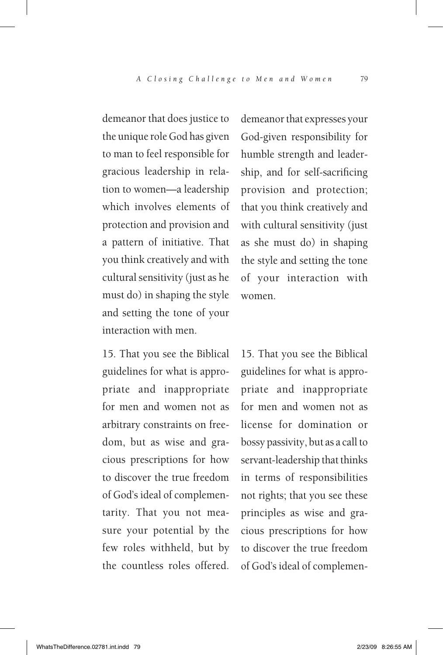demeanor that does justice to the unique role God has given to man to feel responsible for gracious leadership in relation to women—a leadership which involves elements of protection and provision and a pattern of initiative. That you think creatively and with cultural sensitivity (just as he must do) in shaping the style and setting the tone of your interaction with men.

15. That you see the Biblical guidelines for what is appropriate and inappropriate for men and women not as arbitrary constraints on freedom, but as wise and gracious prescriptions for how to discover the true freedom of God's ideal of complementarity. That you not measure your potential by the few roles withheld, but by the countless roles offered.

demeanor that expresses your God-given responsibility for humble strength and leadership, and for self-sacrificing provision and protection; that you think creatively and with cultural sensitivity (just as she must do) in shaping the style and setting the tone of your interaction with women.

15. That you see the Biblical guidelines for what is appropriate and inappropriate for men and women not as license for domination or bossy passivity, but as a call to servant-leadership that thinks in terms of responsibilities not rights; that you see these principles as wise and gracious prescriptions for how to discover the true freedom of God's ideal of complemen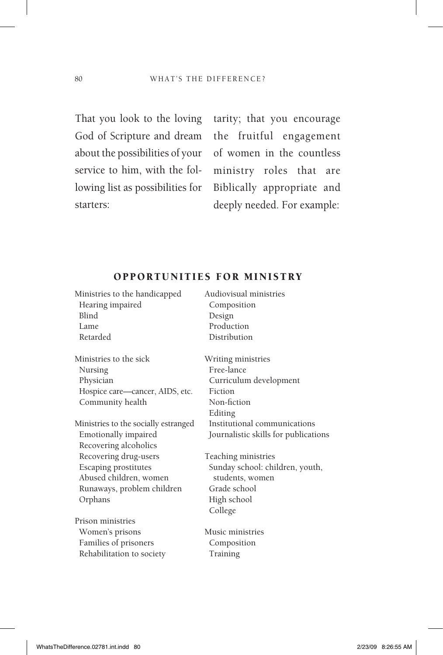That you look to the loving God of Scripture and dream about the possibilities of your service to him, with the following list as possibilities for starters:

tarity; that you encourage the fruitful engagement of women in the countless ministry roles that are Biblically appropriate and deeply needed. For example:

### OPPORTUNITIES FOR MINISTRY

Ministries to the handicapped Audiovisual ministries Hearing impaired Composition Blind Design Lame Production Retarded Distribution

Ministries to the sick Writing ministries Nursing Free-lance Physician Curriculum development Hospice care—cancer, AIDS, etc. Fiction Community health Non-fiction Editing Ministries to the socially estranged Institutional communications Emotionally impaired Journalistic skills for publications Recovering alcoholics Recovering drug-users Teaching ministries Escaping prostitutes Sunday school: children, youth, Abused children, women students, women Runaways, problem children Grade school Orphans High school College Prison ministries Women's prisons Music ministries Families of prisoners Composition Rehabilitation to society Training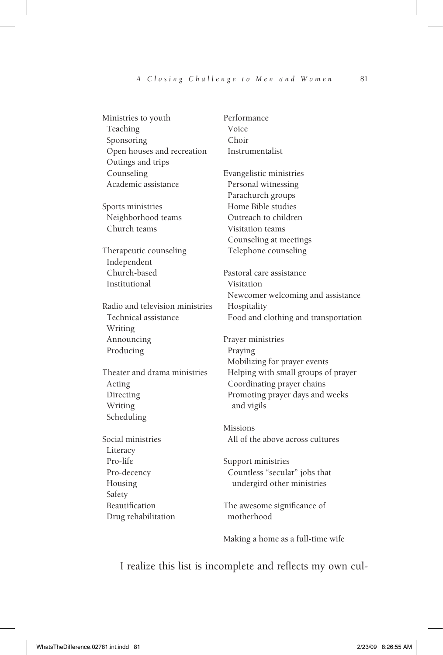| Ministries to youth             | Performance                          |
|---------------------------------|--------------------------------------|
| Teaching                        | Voice                                |
| Sponsoring                      | Choir                                |
| Open houses and recreation      | Instrumentalist                      |
| Outings and trips               |                                      |
| Counseling                      | Evangelistic ministries              |
| Academic assistance             | Personal witnessing                  |
|                                 | Parachurch groups                    |
| Sports ministries               | Home Bible studies                   |
| Neighborhood teams              | Outreach to children                 |
| Church teams                    | Visitation teams                     |
|                                 | Counseling at meetings               |
| Therapeutic counseling          | Telephone counseling                 |
| Independent                     |                                      |
| Church-based                    | Pastoral care assistance             |
| Institutional                   | Visitation                           |
|                                 | Newcomer welcoming and assistance    |
| Radio and television ministries | Hospitality                          |
| Technical assistance            | Food and clothing and transportation |
| Writing                         |                                      |
| Announcing                      | Prayer ministries                    |
| Producing                       | Praying                              |
|                                 | Mobilizing for prayer events         |
| Theater and drama ministries    | Helping with small groups of prayer  |
| Acting                          | Coordinating prayer chains           |
| Directing                       | Promoting prayer days and weeks      |
| Writing                         | and vigils                           |
| Scheduling                      |                                      |
|                                 | <b>Missions</b>                      |
| Social ministries               | All of the above across cultures     |
| Literacy                        |                                      |
| Pro-life                        | Support ministries                   |
| Pro-decency                     | Countless "secular" jobs that        |
| Housing                         | undergird other ministries           |
| Safety                          |                                      |
| Beautification                  | The awesome significance of          |
| Drug rehabilitation             | motherhood                           |
|                                 | Making a home as a full-time wife    |

I realize this list is incomplete and reflects my own cul-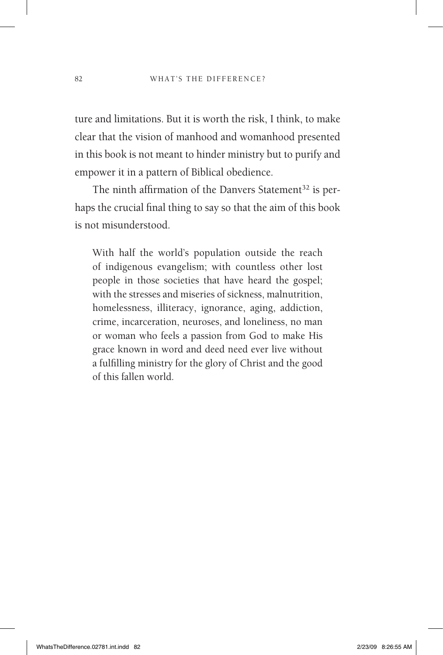ture and limitations. But it is worth the risk, I think, to make clear that the vision of manhood and womanhood presented in this book is not meant to hinder ministry but to purify and empower it in a pattern of Biblical obedience.

The ninth affirmation of the Danvers Statement<sup>32</sup> is perhaps the crucial final thing to say so that the aim of this book is not misunderstood.

With half the world's population outside the reach of indigenous evangelism; with countless other lost people in those societies that have heard the gospel; with the stresses and miseries of sickness, malnutrition, homelessness, illiteracy, ignorance, aging, addiction, crime, incarceration, neuroses, and loneliness, no man or woman who feels a passion from God to make His grace known in word and deed need ever live without a fulfilling ministry for the glory of Christ and the good of this fallen world.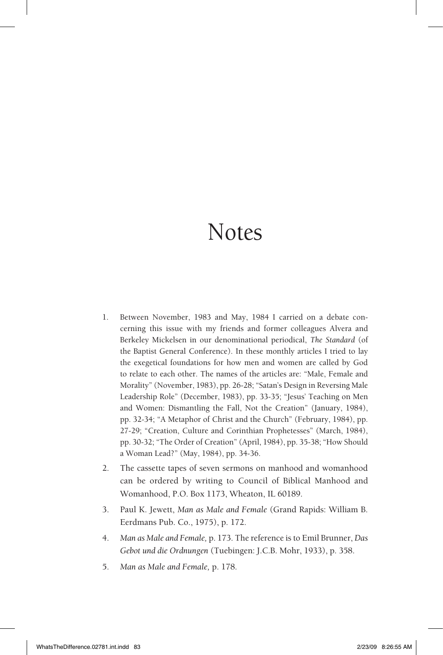- 1. Between November, 1983 and May, 1984 I carried on a debate concerning this issue with my friends and former colleagues Alvera and Berkeley Mickelsen in our denominational periodical, *The Standard* (of the Baptist General Conference). In these monthly articles I tried to lay the exegetical foundations for how men and women are called by God to relate to each other. The names of the articles are: "Male, Female and Morality" (November, 1983), pp. 26-28; "Satan's Design in Reversing Male Leadership Role" (December, 1983), pp. 33-35; "Jesus' Teaching on Men and Women: Dismantling the Fall, Not the Creation" (January, 1984), pp. 32-34; "A Metaphor of Christ and the Church" (February, 1984), pp. 27-29; "Creation, Culture and Corinthian Prophetesses" (March, 1984), pp. 30-32; "The Order of Creation" (April, 1984), pp. 35-38; "How Should a Woman Lead?" (May, 1984), pp. 34-36.
- 2. The cassette tapes of seven sermons on manhood and womanhood can be ordered by writing to Council of Biblical Manhood and Womanhood, P.O. Box 1173, Wheaton, IL 60189.
- 3. Paul K. Jewett, *Man as Male and Female* (Grand Rapids: William B. Eerdmans Pub. Co., 1975), p. 172.
- 4. *Man as Male and Female,* p. 173. The reference is to Emil Brunner, *Das Gebot und die Ordnungen* (Tuebingen: J.C.B. Mohr, 1933), p. 358.
- 5. *Man as Male and Female,* p. 178.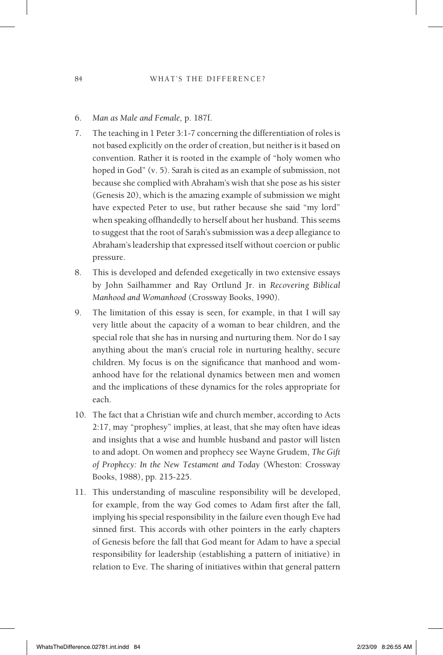- 6. *Man as Male and Female,* p. 187f.
- 7. The teaching in 1 Peter 3:1-7 concerning the differentiation of roles is not based explicitly on the order of creation, but neither is it based on convention. Rather it is rooted in the example of "holy women who hoped in God" (v. 5). Sarah is cited as an example of submission, not because she complied with Abraham's wish that she pose as his sister (Genesis 20), which is the amazing example of submission we might have expected Peter to use, but rather because she said "my lord" when speaking offhandedly to herself about her husband. This seems to suggest that the root of Sarah's submission was a deep allegiance to Abraham's leadership that expressed itself without coercion or public pressure.
- 8. This is developed and defended exegetically in two extensive essays by John Sailhammer and Ray Ortlund Jr. in *Recovering Biblical Manhood and Womanhood* (Crossway Books, 1990).
- 9. The limitation of this essay is seen, for example, in that I will say very little about the capacity of a woman to bear children, and the special role that she has in nursing and nurturing them. Nor do I say anything about the man's crucial role in nurturing healthy, secure children. My focus is on the significance that manhood and womanhood have for the relational dynamics between men and women and the implications of these dynamics for the roles appropriate for each.
- 10. The fact that a Christian wife and church member, according to Acts 2:17, may "prophesy" implies, at least, that she may often have ideas and insights that a wise and humble husband and pastor will listen to and adopt. On women and prophecy see Wayne Grudem, *The Gift of Prophecy: In the New Testament and Today* (Wheston: Crossway Books, 1988), pp. 215-225.
- 11. This understanding of masculine responsibility will be developed, for example, from the way God comes to Adam first after the fall, implying his special responsibility in the failure even though Eve had sinned first. This accords with other pointers in the early chapters of Genesis before the fall that God meant for Adam to have a special responsibility for leadership (establishing a pattern of initiative) in relation to Eve. The sharing of initiatives within that general pattern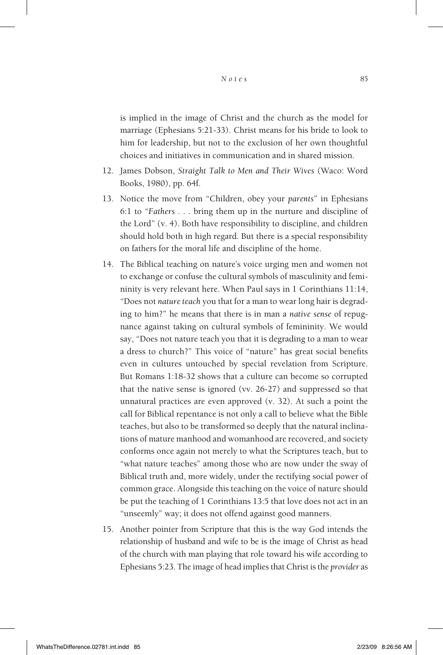is implied in the image of Christ and the church as the model for marriage (Ephesians 5:21-33). Christ means for his bride to look to him for leadership, but not to the exclusion of her own thoughtful choices and initiatives in communication and in shared mission.

- 12. James Dobson, *Straight Talk to Men and Their Wives* (Waco: Word Books, 1980), pp. 64f.
- 13. Notice the move from "Children, obey your *parents*" in Ephesians 6:1 to "*Fathers* . . . bring them up in the nurture and discipline of the Lord" (v. 4). Both have responsibility to discipline, and children should hold both in high regard. But there is a special responsibility on fathers for the moral life and discipline of the home.
- 14. The Biblical teaching on nature's voice urging men and women not to exchange or confuse the cultural symbols of masculinity and femininity is very relevant here. When Paul says in 1 Corinthians 11:14, "Does not *nature teach* you that for a man to wear long hair is degrading to him?" he means that there is in man a *native sense* of repugnance against taking on cultural symbols of femininity. We would say, "Does not nature teach you that it is degrading to a man to wear a dress to church?" This voice of "nature" has great social benefits even in cultures untouched by special revelation from Scripture. But Romans 1:18-32 shows that a culture can become so corrupted that the native sense is ignored (vv. 26-27) and suppressed so that unnatural practices are even approved (v. 32). At such a point the call for Biblical repentance is not only a call to believe what the Bible teaches, but also to be transformed so deeply that the natural inclinations of mature manhood and womanhood are recovered, and society conforms once again not merely to what the Scriptures teach, but to "what nature teaches" among those who are now under the sway of Biblical truth and, more widely, under the rectifying social power of common grace. Alongside this teaching on the voice of nature should be put the teaching of 1 Corinthians 13:5 that love does not act in an "unseemly" way; it does not offend against good manners.
- 15. Another pointer from Scripture that this is the way God intends the relationship of husband and wife to be is the image of Christ as head of the church with man playing that role toward his wife according to Ephesians 5:23. The image of head implies that Christ is the *provider* as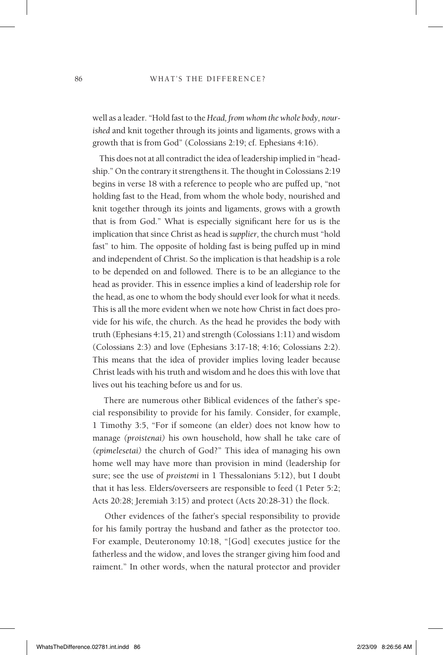#### 86 WHAT'S THE DIFFERENCE?

well as a leader. "Hold fast to the *Head, from whom the whole body, nourished* and knit together through its joints and ligaments, grows with a growth that is from God" (Colossians 2:19; cf. Ephesians 4:16).

 This does not at all contradict the idea of leadership implied in "headship." On the contrary it strengthens it. The thought in Colossians 2:19 begins in verse 18 with a reference to people who are puffed up, "not holding fast to the Head, from whom the whole body, nourished and knit together through its joints and ligaments, grows with a growth that is from God." What is especially significant here for us is the implication that since Christ as head is *supplier,* the church must "hold fast" to him. The opposite of holding fast is being puffed up in mind and independent of Christ. So the implication is that headship is a role to be depended on and followed. There is to be an allegiance to the head as provider. This in essence implies a kind of leadership role for the head, as one to whom the body should ever look for what it needs. This is all the more evident when we note how Christ in fact does provide for his wife, the church. As the head he provides the body with truth (Ephesians 4:15, 21) and strength (Colossians 1:11) and wisdom (Colossians 2:3) and love (Ephesians 3:17-18; 4:16; Colossians 2:2). This means that the idea of provider implies loving leader because Christ leads with his truth and wisdom and he does this with love that lives out his teaching before us and for us.

 There are numerous other Biblical evidences of the father's special responsibility to provide for his family. Consider, for example, 1 Timothy 3:5, "For if someone (an elder) does not know how to manage *(proistenai)* his own household, how shall he take care of *(epimelesetai)* the church of God?" This idea of managing his own home well may have more than provision in mind (leadership for sure; see the use of *proistemi* in 1 Thessalonians 5:12), but I doubt that it has less. Elders/overseers are responsible to feed (1 Peter 5:2; Acts 20:28; Jeremiah 3:15) and protect (Acts 20:28-31) the flock.

 Other evidences of the father's special responsibility to provide for his family portray the husband and father as the protector too. For example, Deuteronomy 10:18, "[God] executes justice for the fatherless and the widow, and loves the stranger giving him food and raiment." In other words, when the natural protector and provider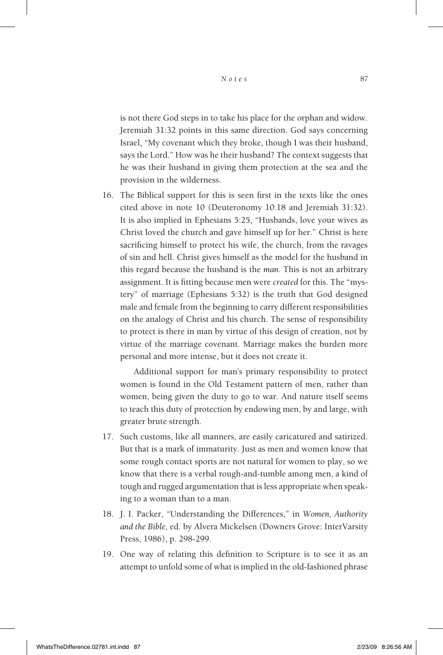is not there God steps in to take his place for the orphan and widow. Jeremiah 31:32 points in this same direction. God says concerning Israel, "My covenant which they broke, though I was their husband, says the Lord." How was he their husband? The context suggests that he was their husband in giving them protection at the sea and the provision in the wilderness.

16. The Biblical support for this is seen first in the texts like the ones cited above in note 10 (Deuteronomy 10:18 and Jeremiah 31:32). It is also implied in Ephesians 5:25, "Husbands, love your wives as Christ loved the church and gave himself up for her." Christ is here sacrificing himself to protect his wife, the church, from the ravages of sin and hell. Christ gives himself as the model for the husband in this regard because the husband is the *man.* This is not an arbitrary assignment. It is fitting because men were *created* for this. The "mystery" of marriage (Ephesians 5:32) is the truth that God designed male and female from the beginning to carry different responsibilities on the analogy of Christ and his church. The sense of responsibility to protect is there in man by virtue of this design of creation, not by virtue of the marriage covenant. Marriage makes the burden more personal and more intense, but it does not create it.

 Additional support for man's primary responsibility to protect women is found in the Old Testament pattern of men, rather than women, being given the duty to go to war. And nature itself seems to teach this duty of protection by endowing men, by and large, with greater brute strength.

- 17. Such customs, like all manners, are easily caricatured and satirized. But that is a mark of immaturity. Just as men and women know that some rough contact sports are not natural for women to play, so we know that there is a verbal rough-and-tumble among men, a kind of tough and rugged argumentation that is less appropriate when speaking to a woman than to a man.
- 18. J. I. Packer, "Understanding the Differences," in *Women, Authority and the Bible,* ed. by Alvera Mickelsen (Downers Grove: InterVarsity Press, 1986), p. 298-299.
- 19. One way of relating this definition to Scripture is to see it as an attempt to unfold some of what is implied in the old-fashioned phrase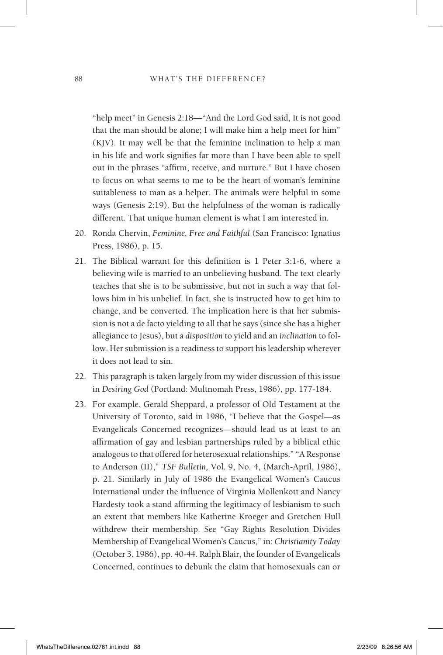"help meet" in Genesis 2:18—"And the Lord God said, It is not good that the man should be alone; I will make him a help meet for him" (KJV). It may well be that the feminine inclination to help a man in his life and work signifies far more than I have been able to spell out in the phrases "affirm, receive, and nurture." But I have chosen to focus on what seems to me to be the heart of woman's feminine suitableness to man as a helper. The animals were helpful in some ways (Genesis 2:19). But the helpfulness of the woman is radically different. That unique human element is what I am interested in.

- 20. Ronda Chervin, *Feminine, Free and Faithful* (San Francisco: Ignatius Press, 1986), p. 15.
- 21. The Biblical warrant for this definition is 1 Peter 3:1-6, where a believing wife is married to an unbelieving husband. The text clearly teaches that she is to be submissive, but not in such a way that follows him in his unbelief. In fact, she is instructed how to get him to change, and be converted. The implication here is that her submission is not a de facto yielding to all that he says (since she has a higher allegiance to Jesus), but a *disposition* to yield and an *inclination* to follow. Her submission is a readiness to support his leadership wherever it does not lead to sin.
- 22. This paragraph is taken largely from my wider discussion of this issue in *Desiring God* (Portland: Multnomah Press, 1986), pp. 177-184.
- 23. For example, Gerald Sheppard, a professor of Old Testament at the University of Toronto, said in 1986, "I believe that the Gospel—as Evangelicals Concerned recognizes—should lead us at least to an affirmation of gay and lesbian partnerships ruled by a biblical ethic analogous to that offered for heterosexual relationships." "A Response to Anderson (II)," *TSF Bulletin,* Vol. 9, No. 4, (March-April, 1986), p. 21. Similarly in July of 1986 the Evangelical Women's Caucus International under the influence of Virginia Mollenkott and Nancy Hardesty took a stand affirming the legitimacy of lesbianism to such an extent that members like Katherine Kroeger and Gretchen Hull withdrew their membership. See "Gay Rights Resolution Divides Membership of Evangelical Women's Caucus," in: *Christianity Today* (October 3, 1986), pp. 40-44. Ralph Blair, the founder of Evangelicals Concerned, continues to debunk the claim that homosexuals can or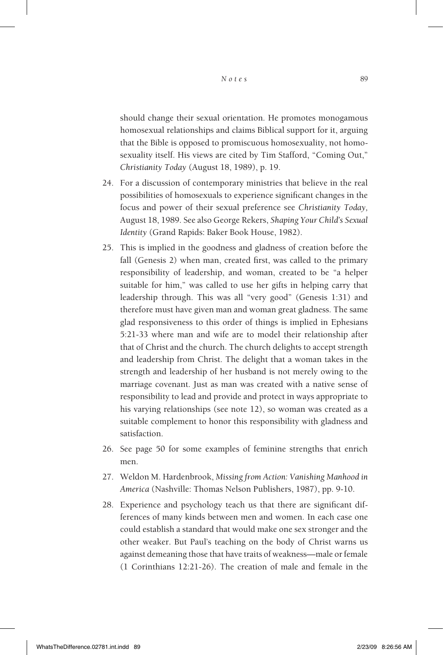should change their sexual orientation. He promotes monogamous homosexual relationships and claims Biblical support for it, arguing that the Bible is opposed to promiscuous homosexuality, not homosexuality itself. His views are cited by Tim Stafford, "Coming Out," *Christianity Today* (August 18, 1989), p. 19.

- 24. For a discussion of contemporary ministries that believe in the real possibilities of homosexuals to experience significant changes in the focus and power of their sexual preference see *Christianity Today,*  August 18, 1989. See also George Rekers, *Shaping Your Child's Sexual Identity* (Grand Rapids: Baker Book House, 1982).
- 25. This is implied in the goodness and gladness of creation before the fall (Genesis 2) when man, created first, was called to the primary responsibility of leadership, and woman, created to be "a helper suitable for him," was called to use her gifts in helping carry that leadership through. This was all "very good" (Genesis 1:31) and therefore must have given man and woman great gladness. The same glad responsiveness to this order of things is implied in Ephesians 5:21-33 where man and wife are to model their relationship after that of Christ and the church. The church delights to accept strength and leadership from Christ. The delight that a woman takes in the strength and leadership of her husband is not merely owing to the marriage covenant. Just as man was created with a native sense of responsibility to lead and provide and protect in ways appropriate to his varying relationships (see note 12), so woman was created as a suitable complement to honor this responsibility with gladness and satisfaction.
- 26. See page 50 for some examples of feminine strengths that enrich men.
- 27. Weldon M. Hardenbrook, *Missing from Action: Vanishing Manhood in America* (Nashville: Thomas Nelson Publishers, 1987), pp. 9-10.
- 28. Experience and psychology teach us that there are significant differences of many kinds between men and women. In each case one could establish a standard that would make one sex stronger and the other weaker. But Paul's teaching on the body of Christ warns us against demeaning those that have traits of weakness—male or female (1 Corinthians 12:21-26). The creation of male and female in the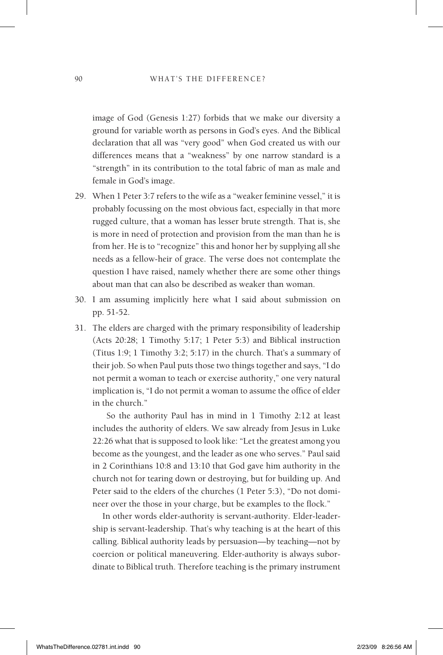image of God (Genesis 1:27) forbids that we make our diversity a ground for variable worth as persons in God's eyes. And the Biblical declaration that all was "very good" when God created us with our differences means that a "weakness" by one narrow standard is a "strength" in its contribution to the total fabric of man as male and female in God's image.

- 29. When 1 Peter 3:7 refers to the wife as a "weaker feminine vessel," it is probably focussing on the most obvious fact, especially in that more rugged culture, that a woman has lesser brute strength. That is, she is more in need of protection and provision from the man than he is from her. He is to "recognize" this and honor her by supplying all she needs as a fellow-heir of grace. The verse does not contemplate the question I have raised, namely whether there are some other things about man that can also be described as weaker than woman.
- 30. I am assuming implicitly here what I said about submission on pp. 51-52.
- 31. The elders are charged with the primary responsibility of leadership (Acts 20:28; 1 Timothy 5:17; 1 Peter 5:3) and Biblical instruction (Titus 1:9; 1 Timothy 3:2; 5:17) in the church. That's a summary of their job. So when Paul puts those two things together and says, "I do not permit a woman to teach or exercise authority," one very natural implication is, "I do not permit a woman to assume the office of elder in the church."

 So the authority Paul has in mind in 1 Timothy 2:12 at least includes the authority of elders. We saw already from Jesus in Luke 22:26 what that is supposed to look like: "Let the greatest among you become as the youngest, and the leader as one who serves." Paul said in 2 Corinthians 10:8 and 13:10 that God gave him authority in the church not for tearing down or destroying, but for building up. And Peter said to the elders of the churches (1 Peter 5:3), "Do not domineer over the those in your charge, but be examples to the flock."

 In other words elder-authority is servant-authority. Elder-leadership is servant-leadership. That's why teaching is at the heart of this calling. Biblical authority leads by persuasion—by teaching—not by coercion or political maneuvering. Elder-authority is always subordinate to Biblical truth. Therefore teaching is the primary instrument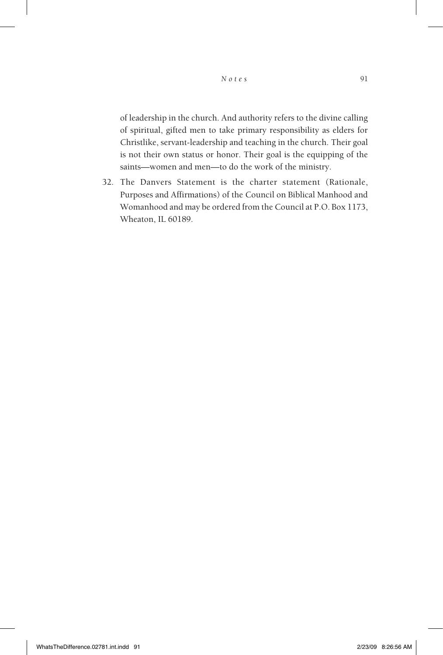of leadership in the church. And authority refers to the divine calling of spiritual, gifted men to take primary responsibility as elders for Christlike, servant-leadership and teaching in the church. Their goal is not their own status or honor. Their goal is the equipping of the saints—women and men—to do the work of the ministry.

32. The Danvers Statement is the charter statement (Rationale, Purposes and Affirmations) of the Council on Biblical Manhood and Womanhood and may be ordered from the Council at P.O. Box 1173, Wheaton, IL 60189.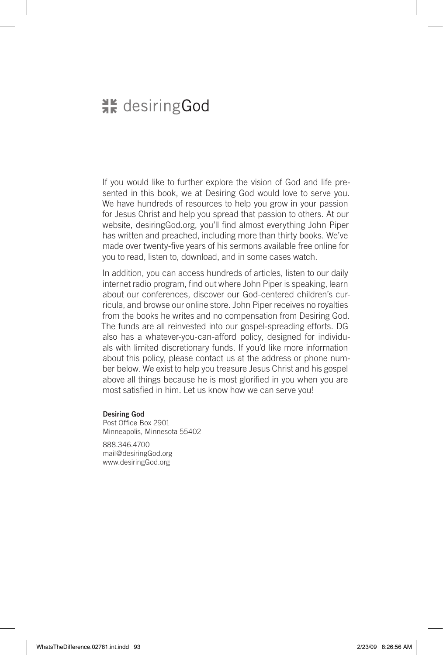## **XE** desiring God

If you would like to further explore the vision of God and life presented in this book, we at Desiring God would love to serve you. We have hundreds of resources to help you grow in your passion for Jesus Christ and help you spread that passion to others. At our website, desiringGod.org, you'll find almost everything John Piper has written and preached, including more than thirty books. We've made over twenty-five years of his sermons available free online for you to read, listen to, download, and in some cases watch.

In addition, you can access hundreds of articles, listen to our daily internet radio program, find out where John Piper is speaking, learn about our conferences, discover our God-centered children's curricula, and browse our online store. John Piper receives no royalties from the books he writes and no compensation from Desiring God. The funds are all reinvested into our gospel-spreading efforts. DG also has a whatever-you-can-afford policy, designed for individuals with limited discretionary funds. If you'd like more information about this policy, please contact us at the address or phone number below. We exist to help you treasure Jesus Christ and his gospel above all things because he is most glorified in you when you are most satisfied in him. Let us know how we can serve you!

#### **Desiring God**

Post Office Box 2901 Minneapolis, Minnesota 55402

888.346.4700 mail@desiringGod.org www.desiringGod.org